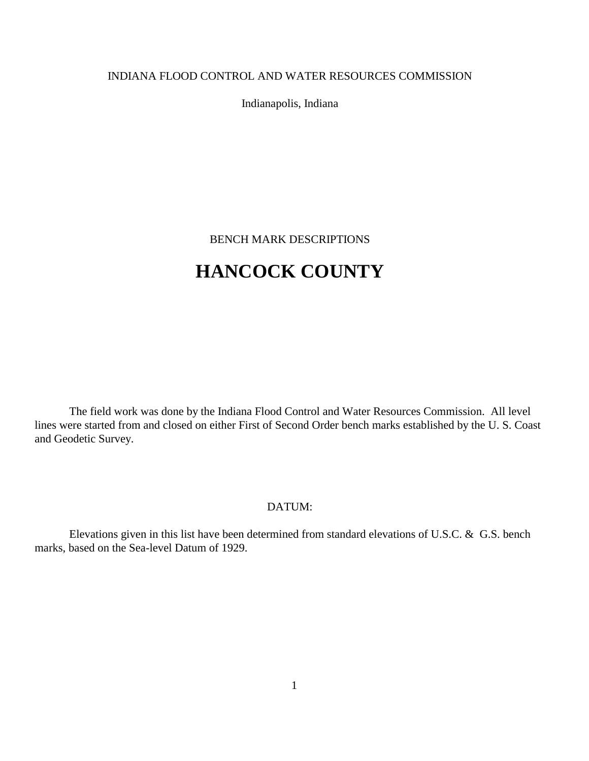### INDIANA FLOOD CONTROL AND WATER RESOURCES COMMISSION

Indianapolis, Indiana

BENCH MARK DESCRIPTIONS

# **HANCOCK COUNTY**

The field work was done by the Indiana Flood Control and Water Resources Commission. All level lines were started from and closed on either First of Second Order bench marks established by the U. S. Coast and Geodetic Survey.

### DATUM:

Elevations given in this list have been determined from standard elevations of U.S.C. & G.S. bench marks, based on the Sea-level Datum of 1929.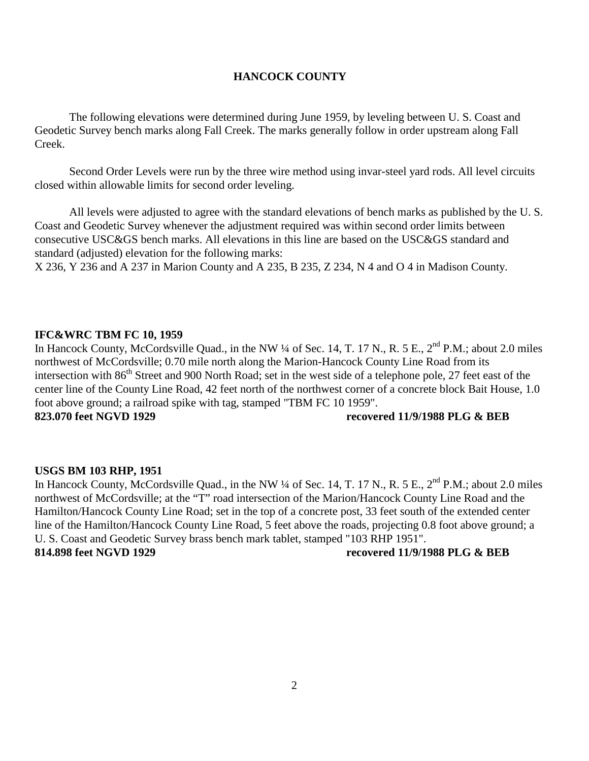### **HANCOCK COUNTY**

The following elevations were determined during June 1959, by leveling between U. S. Coast and Geodetic Survey bench marks along Fall Creek. The marks generally follow in order upstream along Fall Creek.

Second Order Levels were run by the three wire method using invar-steel yard rods. All level circuits closed within allowable limits for second order leveling.

All levels were adjusted to agree with the standard elevations of bench marks as published by the U. S. Coast and Geodetic Survey whenever the adjustment required was within second order limits between consecutive USC&GS bench marks. All elevations in this line are based on the USC&GS standard and standard (adjusted) elevation for the following marks:

X 236, Y 236 and A 237 in Marion County and A 235, B 235, Z 234, N 4 and O 4 in Madison County.

#### **IFC&WRC TBM FC 10, 1959**

In Hancock County, McCordsville Quad., in the NW ¼ of Sec. 14, T. 17 N., R. 5 E., 2<sup>nd</sup> P.M.; about 2.0 miles northwest of McCordsville; 0.70 mile north along the Marion-Hancock County Line Road from its intersection with 86<sup>th</sup> Street and 900 North Road; set in the west side of a telephone pole, 27 feet east of the center line of the County Line Road, 42 feet north of the northwest corner of a concrete block Bait House, 1.0 foot above ground; a railroad spike with tag, stamped "TBM FC 10 1959". **823.070 feet NGVD 1929 recovered 11/9/1988 PLG & BEB** 

#### **USGS BM 103 RHP, 1951**

In Hancock County, McCordsville Quad., in the NW  $\frac{1}{4}$  of Sec. 14, T. 17 N., R. 5 E.,  $2^{nd}$  P.M.; about 2.0 miles northwest of McCordsville; at the "T" road intersection of the Marion/Hancock County Line Road and the Hamilton/Hancock County Line Road; set in the top of a concrete post, 33 feet south of the extended center line of the Hamilton/Hancock County Line Road, 5 feet above the roads, projecting 0.8 foot above ground; a U. S. Coast and Geodetic Survey brass bench mark tablet, stamped "103 RHP 1951". **814.898 feet NGVD 1929 recovered 11/9/1988 PLG & BEB**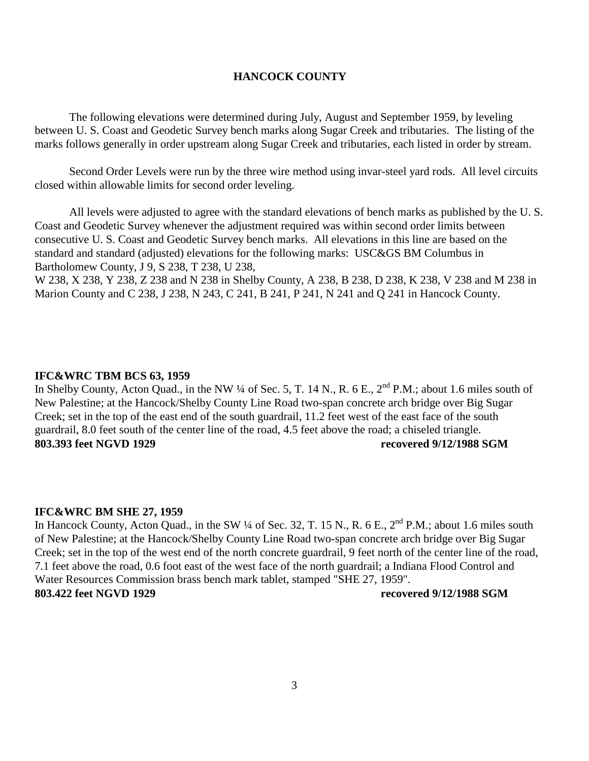#### **HANCOCK COUNTY**

The following elevations were determined during July, August and September 1959, by leveling between U. S. Coast and Geodetic Survey bench marks along Sugar Creek and tributaries. The listing of the marks follows generally in order upstream along Sugar Creek and tributaries, each listed in order by stream.

Second Order Levels were run by the three wire method using invar-steel yard rods. All level circuits closed within allowable limits for second order leveling.

All levels were adjusted to agree with the standard elevations of bench marks as published by the U. S. Coast and Geodetic Survey whenever the adjustment required was within second order limits between consecutive U. S. Coast and Geodetic Survey bench marks. All elevations in this line are based on the standard and standard (adjusted) elevations for the following marks: USC&GS BM Columbus in Bartholomew County, J 9, S 238, T 238, U 238,

W 238, X 238, Y 238, Z 238 and N 238 in Shelby County, A 238, B 238, D 238, K 238, V 238 and M 238 in Marion County and C 238, J 238, N 243, C 241, B 241, P 241, N 241 and Q 241 in Hancock County.

#### **IFC&WRC TBM BCS 63, 1959**

In Shelby County, Acton Quad., in the NW ¼ of Sec. 5, T. 14 N., R. 6 E.,  $2^{nd}$  P.M.; about 1.6 miles south of New Palestine; at the Hancock/Shelby County Line Road two-span concrete arch bridge over Big Sugar Creek; set in the top of the east end of the south guardrail, 11.2 feet west of the east face of the south guardrail, 8.0 feet south of the center line of the road, 4.5 feet above the road; a chiseled triangle. **803.393 feet NGVD 1929 recovered 9/12/1988 SGM** 

#### **IFC&WRC BM SHE 27, 1959**

In Hancock County, Acton Quad., in the SW ¼ of Sec. 32, T. 15 N., R. 6 E., 2<sup>nd</sup> P.M.; about 1.6 miles south of New Palestine; at the Hancock/Shelby County Line Road two-span concrete arch bridge over Big Sugar Creek; set in the top of the west end of the north concrete guardrail, 9 feet north of the center line of the road, 7.1 feet above the road, 0.6 foot east of the west face of the north guardrail; a Indiana Flood Control and Water Resources Commission brass bench mark tablet, stamped "SHE 27, 1959".

### **803.422 feet NGVD 1929 recovered 9/12/1988 SGM**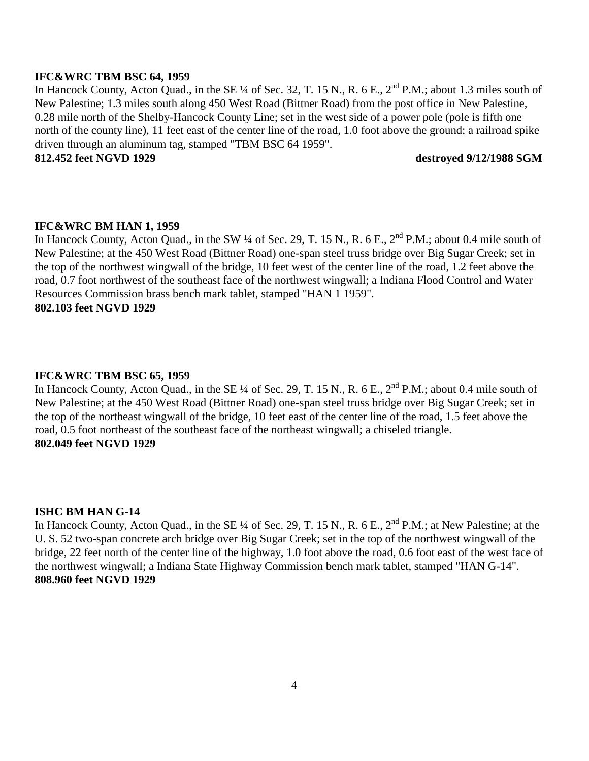#### **IFC&WRC TBM BSC 64, 1959**

In Hancock County, Acton Quad., in the SE ¼ of Sec. 32, T. 15 N., R. 6 E., 2<sup>nd</sup> P.M.; about 1.3 miles south of New Palestine; 1.3 miles south along 450 West Road (Bittner Road) from the post office in New Palestine, 0.28 mile north of the Shelby-Hancock County Line; set in the west side of a power pole (pole is fifth one north of the county line), 11 feet east of the center line of the road, 1.0 foot above the ground; a railroad spike driven through an aluminum tag, stamped "TBM BSC 64 1959".

### **812.452 feet NGVD 1929 destroyed 9/12/1988 SGM**

### **IFC&WRC BM HAN 1, 1959**

In Hancock County, Acton Quad., in the SW ¼ of Sec. 29, T. 15 N., R. 6 E., 2<sup>nd</sup> P.M.; about 0.4 mile south of New Palestine; at the 450 West Road (Bittner Road) one-span steel truss bridge over Big Sugar Creek; set in the top of the northwest wingwall of the bridge, 10 feet west of the center line of the road, 1.2 feet above the road, 0.7 foot northwest of the southeast face of the northwest wingwall; a Indiana Flood Control and Water Resources Commission brass bench mark tablet, stamped "HAN 1 1959". **802.103 feet NGVD 1929** 

#### **IFC&WRC TBM BSC 65, 1959**

In Hancock County, Acton Quad., in the SE ¼ of Sec. 29, T. 15 N., R. 6 E.,  $2^{nd}$  P.M.; about 0.4 mile south of New Palestine; at the 450 West Road (Bittner Road) one-span steel truss bridge over Big Sugar Creek; set in the top of the northeast wingwall of the bridge, 10 feet east of the center line of the road, 1.5 feet above the road, 0.5 foot northeast of the southeast face of the northeast wingwall; a chiseled triangle. **802.049 feet NGVD 1929** 

#### **ISHC BM HAN G-14**

In Hancock County, Acton Quad., in the SE ¼ of Sec. 29, T. 15 N., R. 6 E., 2<sup>nd</sup> P.M.; at New Palestine; at the U. S. 52 two-span concrete arch bridge over Big Sugar Creek; set in the top of the northwest wingwall of the bridge, 22 feet north of the center line of the highway, 1.0 foot above the road, 0.6 foot east of the west face of the northwest wingwall; a Indiana State Highway Commission bench mark tablet, stamped "HAN G-14". **808.960 feet NGVD 1929**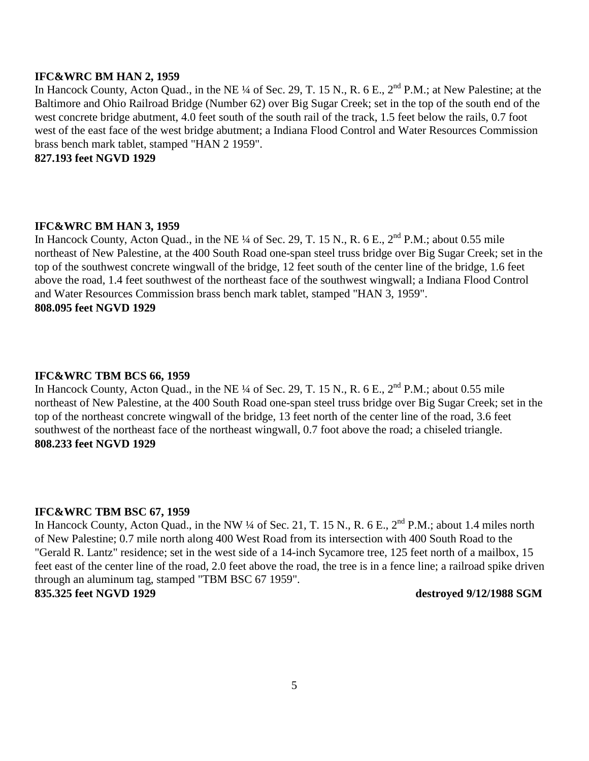#### **IFC&WRC BM HAN 2, 1959**

In Hancock County, Acton Quad., in the NE ¼ of Sec. 29, T. 15 N., R. 6 E., 2<sup>nd</sup> P.M.; at New Palestine; at the Baltimore and Ohio Railroad Bridge (Number 62) over Big Sugar Creek; set in the top of the south end of the west concrete bridge abutment, 4.0 feet south of the south rail of the track, 1.5 feet below the rails, 0.7 foot west of the east face of the west bridge abutment; a Indiana Flood Control and Water Resources Commission brass bench mark tablet, stamped "HAN 2 1959".

**827.193 feet NGVD 1929** 

#### **IFC&WRC BM HAN 3, 1959**

In Hancock County, Acton Quad., in the NE ¼ of Sec. 29, T. 15 N., R. 6 E., 2<sup>nd</sup> P.M.; about 0.55 mile northeast of New Palestine, at the 400 South Road one-span steel truss bridge over Big Sugar Creek; set in the top of the southwest concrete wingwall of the bridge, 12 feet south of the center line of the bridge, 1.6 feet above the road, 1.4 feet southwest of the northeast face of the southwest wingwall; a Indiana Flood Control and Water Resources Commission brass bench mark tablet, stamped "HAN 3, 1959". **808.095 feet NGVD 1929** 

#### **IFC&WRC TBM BCS 66, 1959**

In Hancock County, Acton Quad., in the NE  $\frac{1}{4}$  of Sec. 29, T. 15 N., R. 6 E.,  $2^{nd}$  P.M.; about 0.55 mile northeast of New Palestine, at the 400 South Road one-span steel truss bridge over Big Sugar Creek; set in the top of the northeast concrete wingwall of the bridge, 13 feet north of the center line of the road, 3.6 feet southwest of the northeast face of the northeast wingwall, 0.7 foot above the road; a chiseled triangle. **808.233 feet NGVD 1929** 

#### **IFC&WRC TBM BSC 67, 1959**

In Hancock County, Acton Quad., in the NW ¼ of Sec. 21, T. 15 N., R. 6 E., 2<sup>nd</sup> P.M.; about 1.4 miles north of New Palestine; 0.7 mile north along 400 West Road from its intersection with 400 South Road to the "Gerald R. Lantz" residence; set in the west side of a 14-inch Sycamore tree, 125 feet north of a mailbox, 15 feet east of the center line of the road, 2.0 feet above the road, the tree is in a fence line; a railroad spike driven through an aluminum tag, stamped "TBM BSC 67 1959".

**835.325 feet NGVD 1929 destroyed 9/12/1988 SGM**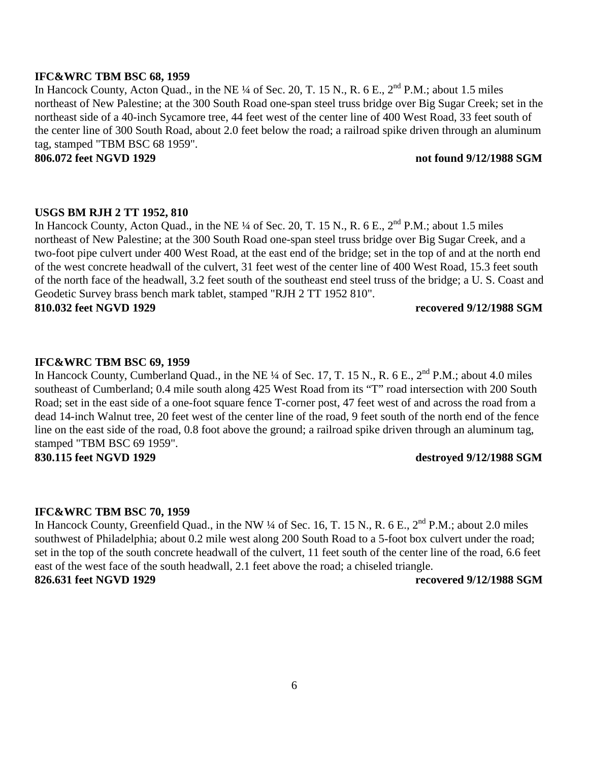#### **IFC&WRC TBM BSC 68, 1959**

In Hancock County, Acton Quad., in the NE ¼ of Sec. 20, T. 15 N., R. 6 E., 2<sup>nd</sup> P.M.; about 1.5 miles northeast of New Palestine; at the 300 South Road one-span steel truss bridge over Big Sugar Creek; set in the northeast side of a 40-inch Sycamore tree, 44 feet west of the center line of 400 West Road, 33 feet south of the center line of 300 South Road, about 2.0 feet below the road; a railroad spike driven through an aluminum tag, stamped "TBM BSC 68 1959".

### **806.072 feet NGVD 1929 not found 9/12/1988 SGM**

### **USGS BM RJH 2 TT 1952, 810**

In Hancock County, Acton Quad., in the NE ¼ of Sec. 20, T. 15 N., R. 6 E., 2<sup>nd</sup> P.M.; about 1.5 miles northeast of New Palestine; at the 300 South Road one-span steel truss bridge over Big Sugar Creek, and a two-foot pipe culvert under 400 West Road, at the east end of the bridge; set in the top of and at the north end of the west concrete headwall of the culvert, 31 feet west of the center line of 400 West Road, 15.3 feet south of the north face of the headwall, 3.2 feet south of the southeast end steel truss of the bridge; a U. S. Coast and Geodetic Survey brass bench mark tablet, stamped "RJH 2 TT 1952 810".

**810.032 feet NGVD 1929 recovered 9/12/1988 SGM** 

#### **IFC&WRC TBM BSC 69, 1959**

In Hancock County, Cumberland Quad., in the NE ¼ of Sec. 17, T. 15 N., R. 6 E., 2<sup>nd</sup> P.M.; about 4.0 miles southeast of Cumberland; 0.4 mile south along 425 West Road from its "T" road intersection with 200 South Road; set in the east side of a one-foot square fence T-corner post, 47 feet west of and across the road from a dead 14-inch Walnut tree, 20 feet west of the center line of the road, 9 feet south of the north end of the fence line on the east side of the road, 0.8 foot above the ground; a railroad spike driven through an aluminum tag, stamped "TBM BSC 69 1959".

### **830.115 feet NGVD 1929 destroyed 9/12/1988 SGM**

#### **IFC&WRC TBM BSC 70, 1959**

In Hancock County, Greenfield Quad., in the NW ¼ of Sec. 16, T. 15 N., R. 6 E., 2<sup>nd</sup> P.M.; about 2.0 miles southwest of Philadelphia; about 0.2 mile west along 200 South Road to a 5-foot box culvert under the road; set in the top of the south concrete headwall of the culvert, 11 feet south of the center line of the road, 6.6 feet east of the west face of the south headwall, 2.1 feet above the road; a chiseled triangle. **826.631 feet NGVD 1929 recovered 9/12/1988 SGM**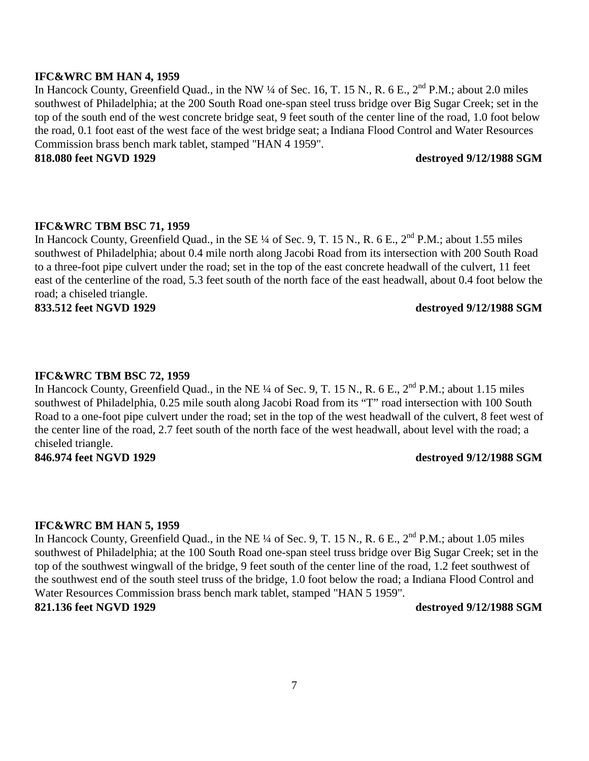#### **IFC&WRC BM HAN 4, 1959**

In Hancock County, Greenfield Quad., in the NW ¼ of Sec. 16, T. 15 N., R. 6 E., 2<sup>nd</sup> P.M.; about 2.0 miles southwest of Philadelphia; at the 200 South Road one-span steel truss bridge over Big Sugar Creek; set in the top of the south end of the west concrete bridge seat, 9 feet south of the center line of the road, 1.0 foot below the road, 0.1 foot east of the west face of the west bridge seat; a Indiana Flood Control and Water Resources Commission brass bench mark tablet, stamped "HAN 4 1959".

### **818.080 feet NGVD 1929 destroyed 9/12/1988 SGM**

#### **IFC&WRC TBM BSC 71, 1959**

In Hancock County, Greenfield Quad., in the SE ¼ of Sec. 9, T. 15 N., R. 6 E., 2<sup>nd</sup> P.M.; about 1.55 miles southwest of Philadelphia; about 0.4 mile north along Jacobi Road from its intersection with 200 South Road to a three-foot pipe culvert under the road; set in the top of the east concrete headwall of the culvert, 11 feet east of the centerline of the road, 5.3 feet south of the north face of the east headwall, about 0.4 foot below the road; a chiseled triangle.

**833.512 feet NGVD 1929 destroyed 9/12/1988 SGM** 

#### **IFC&WRC TBM BSC 72, 1959**

In Hancock County, Greenfield Quad., in the NE  $\frac{1}{4}$  of Sec. 9, T. 15 N., R. 6 E.,  $2^{nd}$  P.M.; about 1.15 miles southwest of Philadelphia, 0.25 mile south along Jacobi Road from its "T" road intersection with 100 South Road to a one-foot pipe culvert under the road; set in the top of the west headwall of the culvert, 8 feet west of the center line of the road, 2.7 feet south of the north face of the west headwall, about level with the road; a chiseled triangle.

#### **846.974 feet NGVD 1929 destroyed 9/12/1988 SGM**

#### **IFC&WRC BM HAN 5, 1959**

In Hancock County, Greenfield Quad., in the NE ¼ of Sec. 9, T. 15 N., R. 6 E., 2<sup>nd</sup> P.M.; about 1.05 miles southwest of Philadelphia; at the 100 South Road one-span steel truss bridge over Big Sugar Creek; set in the top of the southwest wingwall of the bridge, 9 feet south of the center line of the road, 1.2 feet southwest of the southwest end of the south steel truss of the bridge, 1.0 foot below the road; a Indiana Flood Control and Water Resources Commission brass bench mark tablet, stamped "HAN 5 1959".

#### **821.136 feet NGVD 1929 destroyed 9/12/1988 SGM**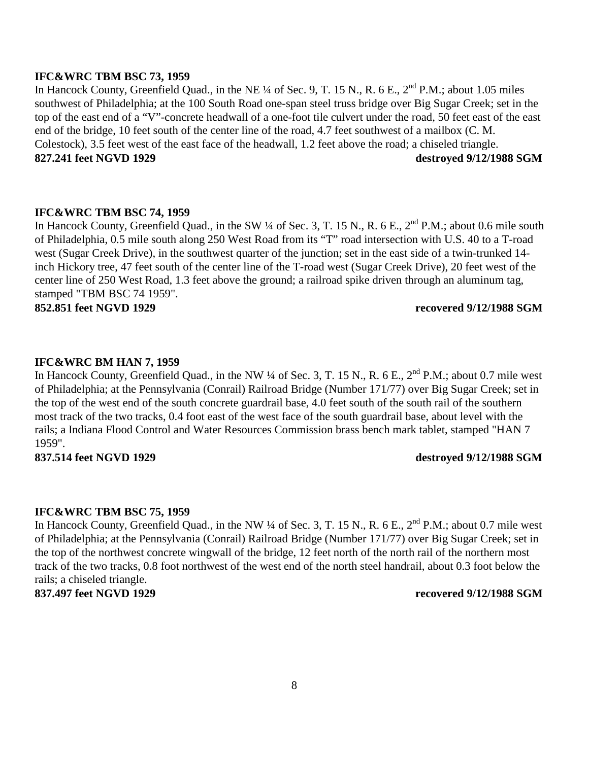#### **IFC&WRC TBM BSC 73, 1959**

In Hancock County, Greenfield Quad., in the NE  $\frac{1}{4}$  of Sec. 9, T. 15 N., R. 6 E.,  $2^{nd}$  P.M.; about 1.05 miles southwest of Philadelphia; at the 100 South Road one-span steel truss bridge over Big Sugar Creek; set in the top of the east end of a "V"-concrete headwall of a one-foot tile culvert under the road, 50 feet east of the east end of the bridge, 10 feet south of the center line of the road, 4.7 feet southwest of a mailbox (C. M. Colestock), 3.5 feet west of the east face of the headwall, 1.2 feet above the road; a chiseled triangle. **827.241 feet NGVD 1929 destroyed 9/12/1988 SGM** 

### **IFC&WRC TBM BSC 74, 1959**

In Hancock County, Greenfield Quad., in the SW ¼ of Sec. 3, T. 15 N., R. 6 E., 2<sup>nd</sup> P.M.; about 0.6 mile south of Philadelphia, 0.5 mile south along 250 West Road from its "T" road intersection with U.S. 40 to a T-road west (Sugar Creek Drive), in the southwest quarter of the junction; set in the east side of a twin-trunked 14 inch Hickory tree, 47 feet south of the center line of the T-road west (Sugar Creek Drive), 20 feet west of the center line of 250 West Road, 1.3 feet above the ground; a railroad spike driven through an aluminum tag, stamped "TBM BSC 74 1959".

**852.851 feet NGVD 1929 recovered 9/12/1988 SGM** 

#### **IFC&WRC BM HAN 7, 1959**

In Hancock County, Greenfield Quad., in the NW ¼ of Sec. 3, T. 15 N., R. 6 E., 2<sup>nd</sup> P.M.; about 0.7 mile west of Philadelphia; at the Pennsylvania (Conrail) Railroad Bridge (Number 171/77) over Big Sugar Creek; set in the top of the west end of the south concrete guardrail base, 4.0 feet south of the south rail of the southern most track of the two tracks, 0.4 foot east of the west face of the south guardrail base, about level with the rails; a Indiana Flood Control and Water Resources Commission brass bench mark tablet, stamped "HAN 7 1959".

**837.514 feet NGVD 1929 destroyed 9/12/1988 SGM** 

#### **IFC&WRC TBM BSC 75, 1959**

In Hancock County, Greenfield Quad., in the NW ¼ of Sec. 3, T. 15 N., R. 6 E., 2<sup>nd</sup> P.M.; about 0.7 mile west of Philadelphia; at the Pennsylvania (Conrail) Railroad Bridge (Number 171/77) over Big Sugar Creek; set in the top of the northwest concrete wingwall of the bridge, 12 feet north of the north rail of the northern most track of the two tracks, 0.8 foot northwest of the west end of the north steel handrail, about 0.3 foot below the rails; a chiseled triangle.

#### **837.497 feet NGVD 1929 recovered 9/12/1988 SGM**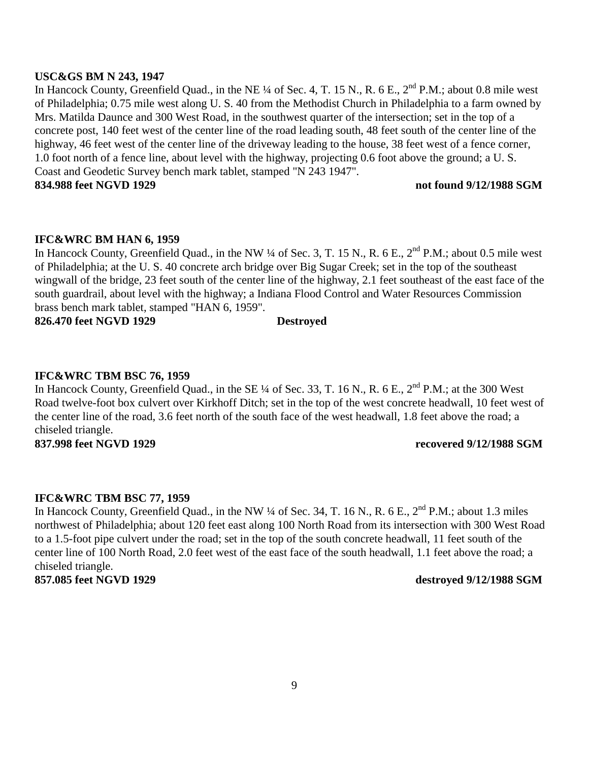#### **USC&GS BM N 243, 1947**

In Hancock County, Greenfield Quad., in the NE ¼ of Sec. 4, T. 15 N., R. 6 E., 2<sup>nd</sup> P.M.; about 0.8 mile west of Philadelphia; 0.75 mile west along U. S. 40 from the Methodist Church in Philadelphia to a farm owned by Mrs. Matilda Daunce and 300 West Road, in the southwest quarter of the intersection; set in the top of a concrete post, 140 feet west of the center line of the road leading south, 48 feet south of the center line of the highway, 46 feet west of the center line of the driveway leading to the house, 38 feet west of a fence corner, 1.0 foot north of a fence line, about level with the highway, projecting 0.6 foot above the ground; a U. S. Coast and Geodetic Survey bench mark tablet, stamped "N 243 1947".

**834.988 feet NGVD 1929 not found 9/12/1988 SGM** 

#### **IFC&WRC BM HAN 6, 1959**

In Hancock County, Greenfield Quad., in the NW ¼ of Sec. 3, T. 15 N., R. 6 E.,  $2^{nd}$  P.M.; about 0.5 mile west of Philadelphia; at the U. S. 40 concrete arch bridge over Big Sugar Creek; set in the top of the southeast wingwall of the bridge, 23 feet south of the center line of the highway, 2.1 feet southeast of the east face of the south guardrail, about level with the highway; a Indiana Flood Control and Water Resources Commission brass bench mark tablet, stamped "HAN 6, 1959".

**826.470 feet NGVD 1929 Destroyed**

#### **IFC&WRC TBM BSC 76, 1959**

In Hancock County, Greenfield Quad., in the SE  $\frac{1}{4}$  of Sec. 33, T. 16 N., R. 6 E., 2<sup>nd</sup> P.M.; at the 300 West Road twelve-foot box culvert over Kirkhoff Ditch; set in the top of the west concrete headwall, 10 feet west of the center line of the road, 3.6 feet north of the south face of the west headwall, 1.8 feet above the road; a chiseled triangle. **837.998 feet NGVD 1929 recovered 9/12/1988 SGM** 

#### **IFC&WRC TBM BSC 77, 1959**

In Hancock County, Greenfield Quad., in the NW  $\frac{1}{4}$  of Sec. 34, T. 16 N., R. 6 E.,  $2^{nd}$  P.M.; about 1.3 miles northwest of Philadelphia; about 120 feet east along 100 North Road from its intersection with 300 West Road to a 1.5-foot pipe culvert under the road; set in the top of the south concrete headwall, 11 feet south of the center line of 100 North Road, 2.0 feet west of the east face of the south headwall, 1.1 feet above the road; a chiseled triangle.

#### **857.085 feet NGVD 1929 destroyed 9/12/1988 SGM**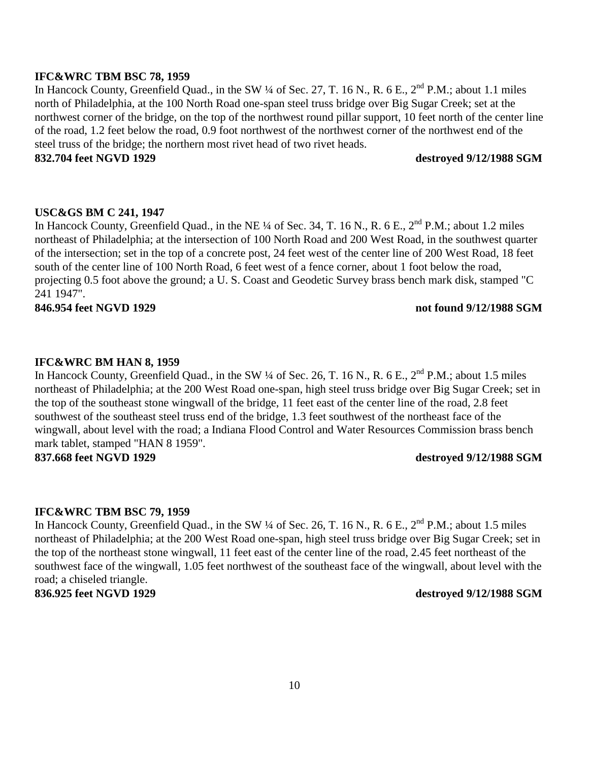#### **IFC&WRC TBM BSC 78, 1959**

In Hancock County, Greenfield Quad., in the SW ¼ of Sec. 27, T. 16 N., R. 6 E., 2<sup>nd</sup> P.M.; about 1.1 miles north of Philadelphia, at the 100 North Road one-span steel truss bridge over Big Sugar Creek; set at the northwest corner of the bridge, on the top of the northwest round pillar support, 10 feet north of the center line of the road, 1.2 feet below the road, 0.9 foot northwest of the northwest corner of the northwest end of the steel truss of the bridge; the northern most rivet head of two rivet heads.

### **832.704 feet NGVD 1929 destroyed 9/12/1988 SGM**

#### **USC&GS BM C 241, 1947**

In Hancock County, Greenfield Quad., in the NE  $\frac{1}{4}$  of Sec. 34, T. 16 N., R. 6 E.,  $2^{nd}$  P.M.; about 1.2 miles northeast of Philadelphia; at the intersection of 100 North Road and 200 West Road, in the southwest quarter of the intersection; set in the top of a concrete post, 24 feet west of the center line of 200 West Road, 18 feet south of the center line of 100 North Road, 6 feet west of a fence corner, about 1 foot below the road, projecting 0.5 foot above the ground; a U. S. Coast and Geodetic Survey brass bench mark disk, stamped "C 241 1947".

#### **846.954 feet NGVD 1929 not found 9/12/1988 SGM**

#### **IFC&WRC BM HAN 8, 1959**

In Hancock County, Greenfield Quad., in the SW 1/4 of Sec. 26, T. 16 N., R. 6 E., 2<sup>nd</sup> P.M.; about 1.5 miles northeast of Philadelphia; at the 200 West Road one-span, high steel truss bridge over Big Sugar Creek; set in the top of the southeast stone wingwall of the bridge, 11 feet east of the center line of the road, 2.8 feet southwest of the southeast steel truss end of the bridge, 1.3 feet southwest of the northeast face of the wingwall, about level with the road; a Indiana Flood Control and Water Resources Commission brass bench mark tablet, stamped "HAN 8 1959". **837.668 feet NGVD 1929 destroyed 9/12/1988 SGM** 

#### **IFC&WRC TBM BSC 79, 1959**

In Hancock County, Greenfield Quad., in the SW ¼ of Sec. 26, T. 16 N., R. 6 E., 2<sup>nd</sup> P.M.; about 1.5 miles northeast of Philadelphia; at the 200 West Road one-span, high steel truss bridge over Big Sugar Creek; set in the top of the northeast stone wingwall, 11 feet east of the center line of the road, 2.45 feet northeast of the southwest face of the wingwall, 1.05 feet northwest of the southeast face of the wingwall, about level with the road; a chiseled triangle.

#### **836.925 feet NGVD 1929 destroyed 9/12/1988 SGM**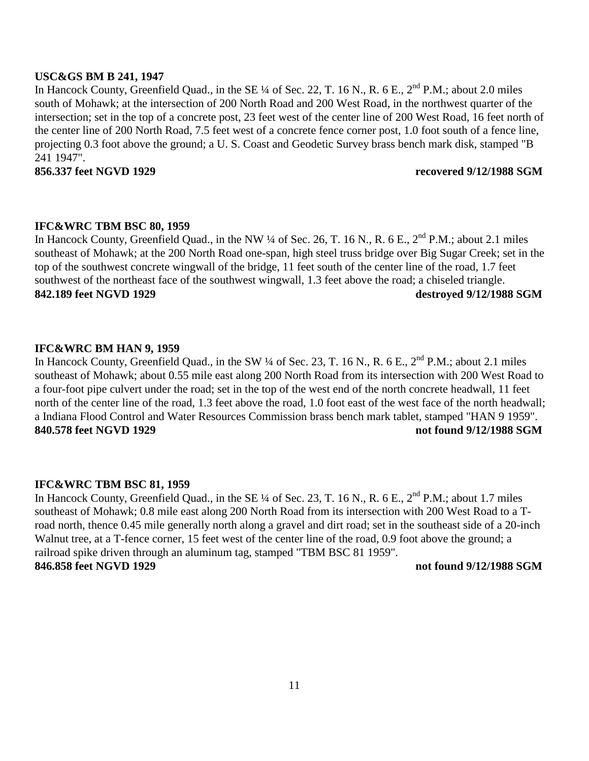#### **USC&GS BM B 241, 1947**

In Hancock County, Greenfield Quad., in the SE  $\frac{1}{4}$  of Sec. 22, T. 16 N., R. 6 E.,  $2^{nd}$  P.M.; about 2.0 miles south of Mohawk; at the intersection of 200 North Road and 200 West Road, in the northwest quarter of the intersection; set in the top of a concrete post, 23 feet west of the center line of 200 West Road, 16 feet north of the center line of 200 North Road, 7.5 feet west of a concrete fence corner post, 1.0 foot south of a fence line, projecting 0.3 foot above the ground; a U. S. Coast and Geodetic Survey brass bench mark disk, stamped "B 241 1947".

#### **856.337 feet NGVD 1929 recovered 9/12/1988 SGM**

#### **IFC&WRC TBM BSC 80, 1959**

In Hancock County, Greenfield Quad., in the NW ¼ of Sec. 26, T. 16 N., R. 6 E., 2<sup>nd</sup> P.M.; about 2.1 miles southeast of Mohawk; at the 200 North Road one-span, high steel truss bridge over Big Sugar Creek; set in the top of the southwest concrete wingwall of the bridge, 11 feet south of the center line of the road, 1.7 feet southwest of the northeast face of the southwest wingwall, 1.3 feet above the road; a chiseled triangle. **842.189 feet NGVD 1929 destroyed 9/12/1988 SGM** 

### **IFC&WRC BM HAN 9, 1959**

In Hancock County, Greenfield Quad., in the SW ¼ of Sec. 23, T. 16 N., R. 6 E., 2<sup>nd</sup> P.M.; about 2.1 miles southeast of Mohawk; about 0.55 mile east along 200 North Road from its intersection with 200 West Road to a four-foot pipe culvert under the road; set in the top of the west end of the north concrete headwall, 11 feet north of the center line of the road, 1.3 feet above the road, 1.0 foot east of the west face of the north headwall; a Indiana Flood Control and Water Resources Commission brass bench mark tablet, stamped "HAN 9 1959". **840.578 feet NGVD 1929 not found 9/12/1988 SGM** 

### **IFC&WRC TBM BSC 81, 1959**

In Hancock County, Greenfield Quad., in the SE ¼ of Sec. 23, T. 16 N., R. 6 E., 2<sup>nd</sup> P.M.; about 1.7 miles southeast of Mohawk; 0.8 mile east along 200 North Road from its intersection with 200 West Road to a Troad north, thence 0.45 mile generally north along a gravel and dirt road; set in the southeast side of a 20-inch Walnut tree, at a T-fence corner, 15 feet west of the center line of the road, 0.9 foot above the ground; a railroad spike driven through an aluminum tag, stamped "TBM BSC 81 1959". **846.858 feet NGVD 1929 not found 9/12/1988 SGM**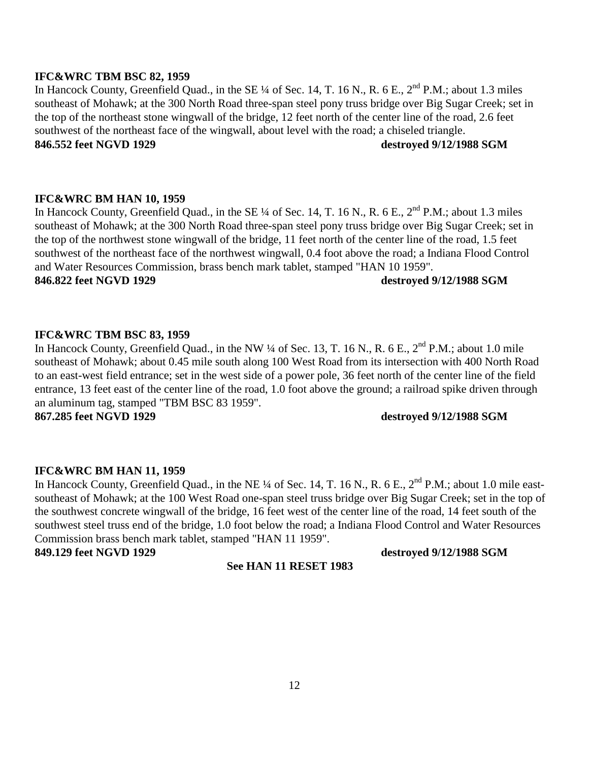#### **IFC&WRC TBM BSC 82, 1959**

In Hancock County, Greenfield Quad., in the SE  $\frac{1}{4}$  of Sec. 14, T. 16 N., R. 6 E.,  $2^{nd}$  P.M.; about 1.3 miles southeast of Mohawk; at the 300 North Road three-span steel pony truss bridge over Big Sugar Creek; set in the top of the northeast stone wingwall of the bridge, 12 feet north of the center line of the road, 2.6 feet southwest of the northeast face of the wingwall, about level with the road; a chiseled triangle. **846.552 feet NGVD 1929 destroyed 9/12/1988 SGM** 

#### **IFC&WRC BM HAN 10, 1959**

In Hancock County, Greenfield Quad., in the SE ¼ of Sec. 14, T. 16 N., R. 6 E., 2<sup>nd</sup> P.M.; about 1.3 miles southeast of Mohawk; at the 300 North Road three-span steel pony truss bridge over Big Sugar Creek; set in the top of the northwest stone wingwall of the bridge, 11 feet north of the center line of the road, 1.5 feet southwest of the northeast face of the northwest wingwall, 0.4 foot above the road; a Indiana Flood Control and Water Resources Commission, brass bench mark tablet, stamped "HAN 10 1959".

#### **846.822 feet NGVD 1929 destroyed 9/12/1988 SGM**

### **IFC&WRC TBM BSC 83, 1959**

In Hancock County, Greenfield Quad., in the NW ¼ of Sec. 13, T. 16 N., R. 6 E., 2<sup>nd</sup> P.M.; about 1.0 mile southeast of Mohawk; about 0.45 mile south along 100 West Road from its intersection with 400 North Road to an east-west field entrance; set in the west side of a power pole, 36 feet north of the center line of the field entrance, 13 feet east of the center line of the road, 1.0 foot above the ground; a railroad spike driven through an aluminum tag, stamped "TBM BSC 83 1959".

#### **867.285 feet NGVD 1929 destroyed 9/12/1988 SGM**

#### **IFC&WRC BM HAN 11, 1959**

In Hancock County, Greenfield Quad., in the NE ¼ of Sec. 14, T. 16 N., R. 6 E., 2<sup>nd</sup> P.M.; about 1.0 mile eastsoutheast of Mohawk; at the 100 West Road one-span steel truss bridge over Big Sugar Creek; set in the top of the southwest concrete wingwall of the bridge, 16 feet west of the center line of the road, 14 feet south of the southwest steel truss end of the bridge, 1.0 foot below the road; a Indiana Flood Control and Water Resources Commission brass bench mark tablet, stamped "HAN 11 1959".

**849.129 feet NGVD 1929 destroyed 9/12/1988 SGM**

#### **See HAN 11 RESET 1983**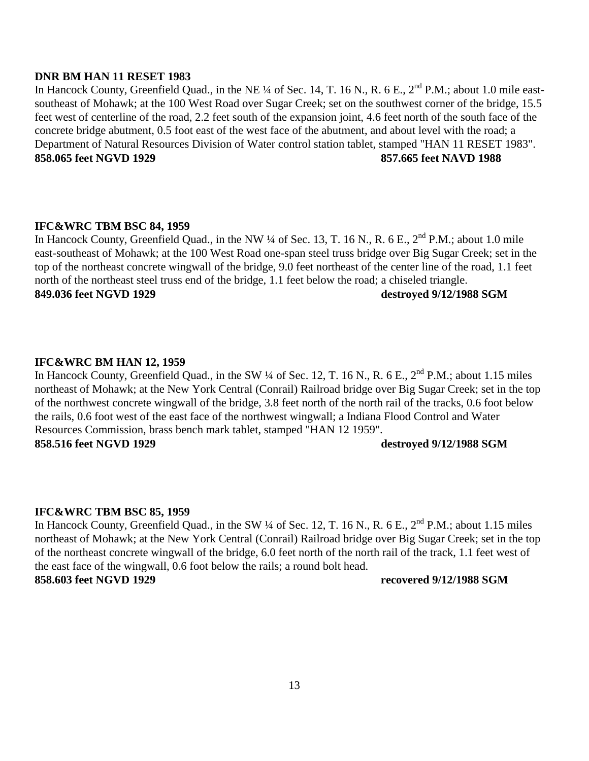#### **DNR BM HAN 11 RESET 1983**

In Hancock County, Greenfield Quad., in the NE ¼ of Sec. 14, T. 16 N., R. 6 E., 2<sup>nd</sup> P.M.; about 1.0 mile eastsoutheast of Mohawk; at the 100 West Road over Sugar Creek; set on the southwest corner of the bridge, 15.5 feet west of centerline of the road, 2.2 feet south of the expansion joint, 4.6 feet north of the south face of the concrete bridge abutment, 0.5 foot east of the west face of the abutment, and about level with the road; a Department of Natural Resources Division of Water control station tablet, stamped "HAN 11 RESET 1983". **858.065 feet NGVD 1929 857.665 feet NAVD 1988** 

### **IFC&WRC TBM BSC 84, 1959**

In Hancock County, Greenfield Quad., in the NW ¼ of Sec. 13, T. 16 N., R. 6 E., 2<sup>nd</sup> P.M.; about 1.0 mile east-southeast of Mohawk; at the 100 West Road one-span steel truss bridge over Big Sugar Creek; set in the top of the northeast concrete wingwall of the bridge, 9.0 feet northeast of the center line of the road, 1.1 feet north of the northeast steel truss end of the bridge, 1.1 feet below the road; a chiseled triangle. **849.036 feet NGVD 1929 destroyed 9/12/1988 SGM** 

### **IFC&WRC BM HAN 12, 1959**

In Hancock County, Greenfield Quad., in the SW ¼ of Sec. 12, T. 16 N., R. 6 E., 2<sup>nd</sup> P.M.; about 1.15 miles northeast of Mohawk; at the New York Central (Conrail) Railroad bridge over Big Sugar Creek; set in the top of the northwest concrete wingwall of the bridge, 3.8 feet north of the north rail of the tracks, 0.6 foot below the rails, 0.6 foot west of the east face of the northwest wingwall; a Indiana Flood Control and Water Resources Commission, brass bench mark tablet, stamped "HAN 12 1959". **858.516 feet NGVD 1929 destroyed 9/12/1988 SGM** 

### **IFC&WRC TBM BSC 85, 1959**

In Hancock County, Greenfield Quad., in the SW ¼ of Sec. 12, T. 16 N., R. 6 E., 2<sup>nd</sup> P.M.; about 1.15 miles northeast of Mohawk; at the New York Central (Conrail) Railroad bridge over Big Sugar Creek; set in the top of the northeast concrete wingwall of the bridge, 6.0 feet north of the north rail of the track, 1.1 feet west of the east face of the wingwall, 0.6 foot below the rails; a round bolt head. **858.603 feet NGVD 1929 recovered 9/12/1988 SGM**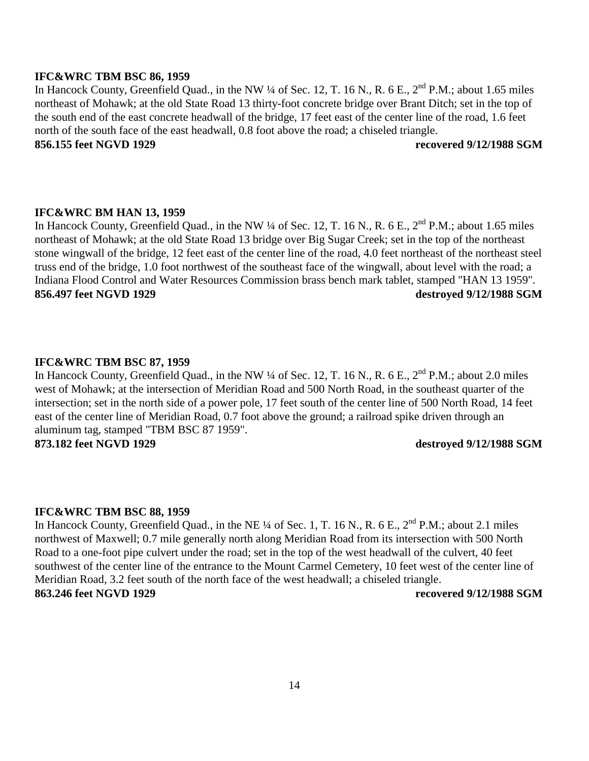#### **IFC&WRC TBM BSC 86, 1959**

In Hancock County, Greenfield Quad., in the NW  $\frac{1}{4}$  of Sec. 12, T. 16 N., R. 6 E.,  $2^{nd}$  P.M.; about 1.65 miles northeast of Mohawk; at the old State Road 13 thirty-foot concrete bridge over Brant Ditch; set in the top of the south end of the east concrete headwall of the bridge, 17 feet east of the center line of the road, 1.6 feet north of the south face of the east headwall, 0.8 foot above the road; a chiseled triangle. **856.155 feet NGVD 1929 recovered 9/12/1988 SGM** 

# **IFC&WRC BM HAN 13, 1959**

In Hancock County, Greenfield Quad., in the NW ¼ of Sec. 12, T. 16 N., R. 6 E., 2<sup>nd</sup> P.M.; about 1.65 miles northeast of Mohawk; at the old State Road 13 bridge over Big Sugar Creek; set in the top of the northeast stone wingwall of the bridge, 12 feet east of the center line of the road, 4.0 feet northeast of the northeast steel truss end of the bridge, 1.0 foot northwest of the southeast face of the wingwall, about level with the road; a Indiana Flood Control and Water Resources Commission brass bench mark tablet, stamped "HAN 13 1959". **856.497 feet NGVD 1929 destroyed 9/12/1988 SGM** 

#### **IFC&WRC TBM BSC 87, 1959**

In Hancock County, Greenfield Quad., in the NW ¼ of Sec. 12, T. 16 N., R. 6 E., 2<sup>nd</sup> P.M.; about 2.0 miles west of Mohawk; at the intersection of Meridian Road and 500 North Road, in the southeast quarter of the intersection; set in the north side of a power pole, 17 feet south of the center line of 500 North Road, 14 feet east of the center line of Meridian Road, 0.7 foot above the ground; a railroad spike driven through an aluminum tag, stamped "TBM BSC 87 1959". **873.182 feet NGVD 1929 destroyed 9/12/1988 SGM** 

#### **IFC&WRC TBM BSC 88, 1959**

In Hancock County, Greenfield Quad., in the NE ¼ of Sec. 1, T. 16 N., R. 6 E., 2<sup>nd</sup> P.M.; about 2.1 miles northwest of Maxwell; 0.7 mile generally north along Meridian Road from its intersection with 500 North Road to a one-foot pipe culvert under the road; set in the top of the west headwall of the culvert, 40 feet southwest of the center line of the entrance to the Mount Carmel Cemetery, 10 feet west of the center line of Meridian Road, 3.2 feet south of the north face of the west headwall; a chiseled triangle. **863.246 feet NGVD 1929 recovered 9/12/1988 SGM**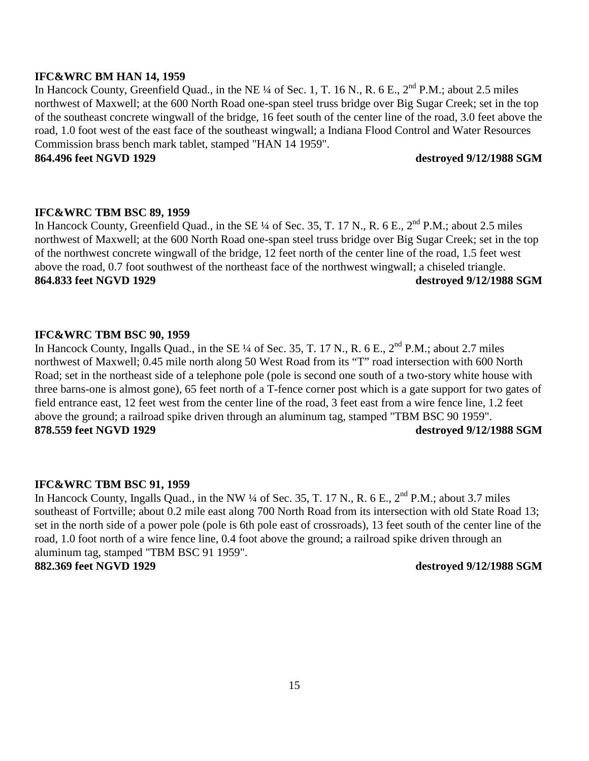#### **IFC&WRC BM HAN 14, 1959**

In Hancock County, Greenfield Quad., in the NE ¼ of Sec. 1, T. 16 N., R. 6 E., 2<sup>nd</sup> P.M.; about 2.5 miles northwest of Maxwell; at the 600 North Road one-span steel truss bridge over Big Sugar Creek; set in the top of the southeast concrete wingwall of the bridge, 16 feet south of the center line of the road, 3.0 feet above the road, 1.0 foot west of the east face of the southeast wingwall; a Indiana Flood Control and Water Resources Commission brass bench mark tablet, stamped "HAN 14 1959".

### **864.496 feet NGVD 1929 destroyed 9/12/1988 SGM**

### **IFC&WRC TBM BSC 89, 1959**

In Hancock County, Greenfield Quad., in the SE ¼ of Sec. 35, T. 17 N., R. 6 E., 2<sup>nd</sup> P.M.; about 2.5 miles northwest of Maxwell; at the 600 North Road one-span steel truss bridge over Big Sugar Creek; set in the top of the northwest concrete wingwall of the bridge, 12 feet north of the center line of the road, 1.5 feet west above the road, 0.7 foot southwest of the northeast face of the northwest wingwall; a chiseled triangle. **864.833 feet NGVD 1929 destroyed 9/12/1988 SGM** 

### **IFC&WRC TBM BSC 90, 1959**

In Hancock County, Ingalls Quad., in the SE ¼ of Sec. 35, T. 17 N., R. 6 E., 2<sup>nd</sup> P.M.; about 2.7 miles northwest of Maxwell; 0.45 mile north along 50 West Road from its "T" road intersection with 600 North Road; set in the northeast side of a telephone pole (pole is second one south of a two-story white house with three barns-one is almost gone), 65 feet north of a T-fence corner post which is a gate support for two gates of field entrance east, 12 feet west from the center line of the road, 3 feet east from a wire fence line, 1.2 feet above the ground; a railroad spike driven through an aluminum tag, stamped "TBM BSC 90 1959". **878.559 feet NGVD 1929 destroyed 9/12/1988 SGM** 

#### **IFC&WRC TBM BSC 91, 1959**

In Hancock County, Ingalls Quad., in the NW  $\frac{1}{4}$  of Sec. 35, T. 17 N., R. 6 E.,  $2^{nd}$  P.M.; about 3.7 miles southeast of Fortville; about 0.2 mile east along 700 North Road from its intersection with old State Road 13; set in the north side of a power pole (pole is 6th pole east of crossroads), 13 feet south of the center line of the road, 1.0 foot north of a wire fence line, 0.4 foot above the ground; a railroad spike driven through an aluminum tag, stamped "TBM BSC 91 1959". **882.369 feet NGVD 1929 destroyed 9/12/1988 SGM**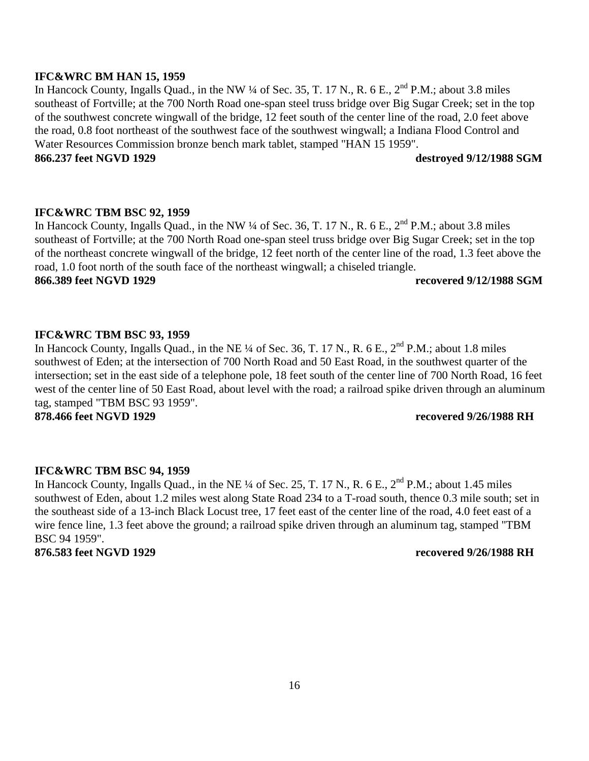#### **IFC&WRC BM HAN 15, 1959**

In Hancock County, Ingalls Quad., in the NW ¼ of Sec. 35, T. 17 N., R. 6 E., 2<sup>nd</sup> P.M.; about 3.8 miles southeast of Fortville; at the 700 North Road one-span steel truss bridge over Big Sugar Creek; set in the top of the southwest concrete wingwall of the bridge, 12 feet south of the center line of the road, 2.0 feet above the road, 0.8 foot northeast of the southwest face of the southwest wingwall; a Indiana Flood Control and Water Resources Commission bronze bench mark tablet, stamped "HAN 15 1959".

### **866.237 feet NGVD 1929 destroyed 9/12/1988 SGM**

### **IFC&WRC TBM BSC 92, 1959**

In Hancock County, Ingalls Quad., in the NW ¼ of Sec. 36, T. 17 N., R. 6 E., 2<sup>nd</sup> P.M.; about 3.8 miles southeast of Fortville; at the 700 North Road one-span steel truss bridge over Big Sugar Creek; set in the top of the northeast concrete wingwall of the bridge, 12 feet north of the center line of the road, 1.3 feet above the road, 1.0 foot north of the south face of the northeast wingwall; a chiseled triangle. **866.389 feet NGVD 1929 recovered 9/12/1988 SGM** 

### **IFC&WRC TBM BSC 93, 1959**

In Hancock County, Ingalls Quad., in the NE ¼ of Sec. 36, T. 17 N., R. 6 E., 2<sup>nd</sup> P.M.; about 1.8 miles southwest of Eden; at the intersection of 700 North Road and 50 East Road, in the southwest quarter of the intersection; set in the east side of a telephone pole, 18 feet south of the center line of 700 North Road, 16 feet west of the center line of 50 East Road, about level with the road; a railroad spike driven through an aluminum tag, stamped "TBM BSC 93 1959".

**878.466 feet NGVD 1929 recovered 9/26/1988 RH** 

### **IFC&WRC TBM BSC 94, 1959**

In Hancock County, Ingalls Quad., in the NE ¼ of Sec. 25, T. 17 N., R. 6 E., 2<sup>nd</sup> P.M.; about 1.45 miles southwest of Eden, about 1.2 miles west along State Road 234 to a T-road south, thence 0.3 mile south; set in the southeast side of a 13-inch Black Locust tree, 17 feet east of the center line of the road, 4.0 feet east of a wire fence line, 1.3 feet above the ground; a railroad spike driven through an aluminum tag, stamped "TBM BSC 94 1959".

**876.583 feet NGVD 1929 recovered 9/26/1988 RH**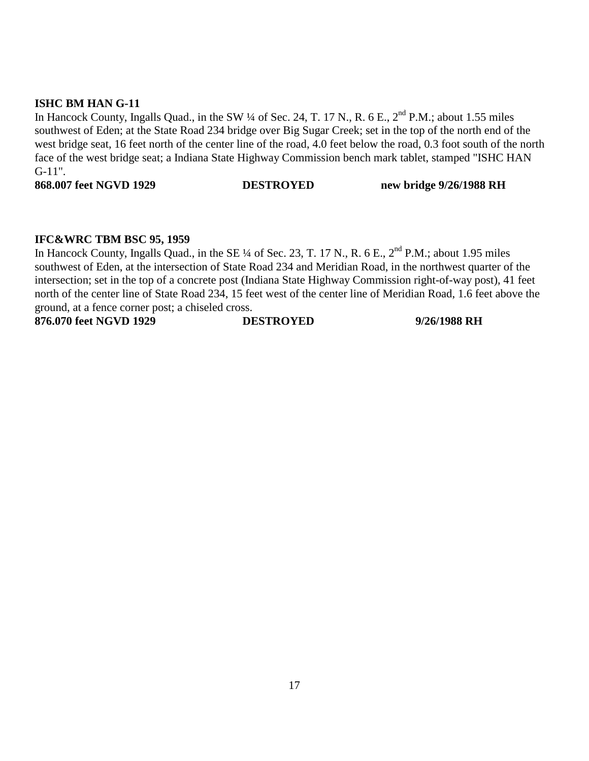### **ISHC BM HAN G-11**

In Hancock County, Ingalls Quad., in the SW ¼ of Sec. 24, T. 17 N., R. 6 E., 2<sup>nd</sup> P.M.; about 1.55 miles southwest of Eden; at the State Road 234 bridge over Big Sugar Creek; set in the top of the north end of the west bridge seat, 16 feet north of the center line of the road, 4.0 feet below the road, 0.3 foot south of the north face of the west bridge seat; a Indiana State Highway Commission bench mark tablet, stamped "ISHC HAN G-11".

**868.007 feet NGVD 1929 DESTROYED new bridge 9/26/1988 RH** 

#### **IFC&WRC TBM BSC 95, 1959**

In Hancock County, Ingalls Quad., in the SE ¼ of Sec. 23, T. 17 N., R. 6 E., 2<sup>nd</sup> P.M.; about 1.95 miles southwest of Eden, at the intersection of State Road 234 and Meridian Road, in the northwest quarter of the intersection; set in the top of a concrete post (Indiana State Highway Commission right-of-way post), 41 feet north of the center line of State Road 234, 15 feet west of the center line of Meridian Road, 1.6 feet above the ground, at a fence corner post; a chiseled cross.

**876.070 feet NGVD 1929 DESTROYED 9/26/1988 RH**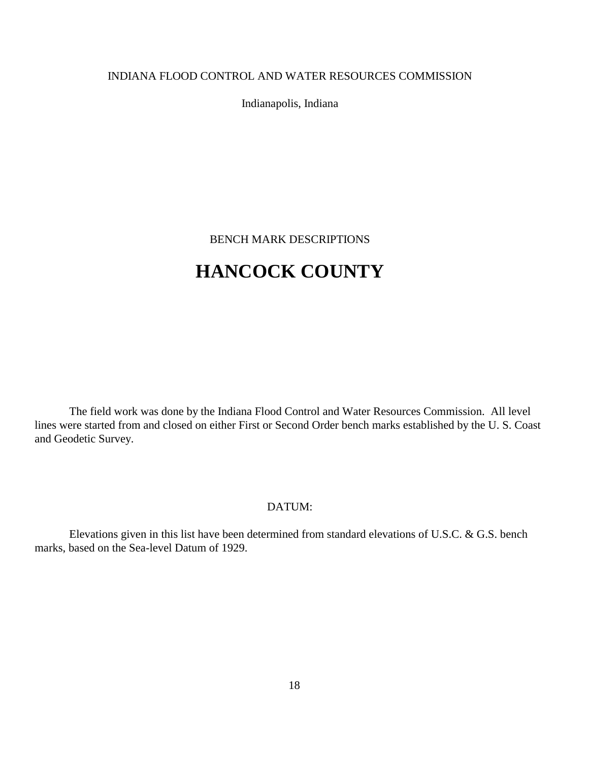### INDIANA FLOOD CONTROL AND WATER RESOURCES COMMISSION

Indianapolis, Indiana

BENCH MARK DESCRIPTIONS

# **HANCOCK COUNTY**

The field work was done by the Indiana Flood Control and Water Resources Commission. All level lines were started from and closed on either First or Second Order bench marks established by the U. S. Coast and Geodetic Survey.

### DATUM:

Elevations given in this list have been determined from standard elevations of U.S.C. & G.S. bench marks, based on the Sea-level Datum of 1929.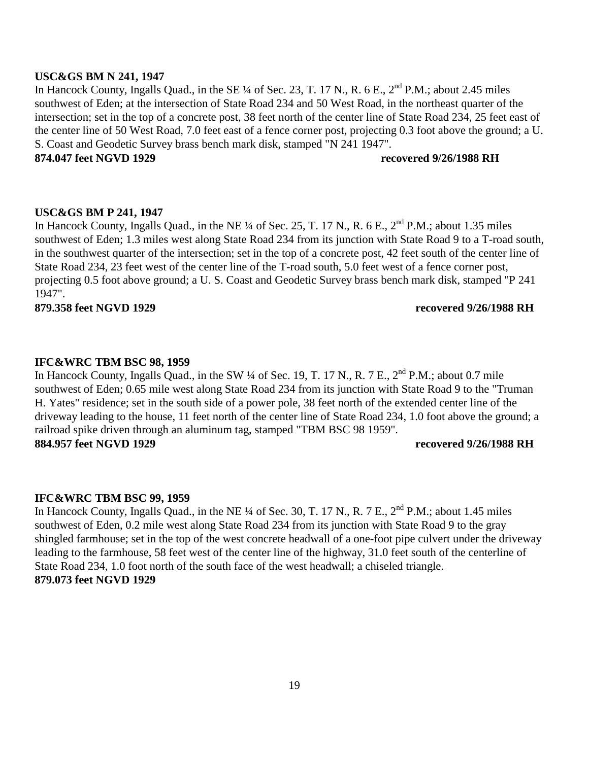#### **USC&GS BM N 241, 1947**

In Hancock County, Ingalls Quad., in the SE  $\frac{1}{4}$  of Sec. 23, T. 17 N., R. 6 E.,  $2^{nd}$  P.M.; about 2.45 miles southwest of Eden; at the intersection of State Road 234 and 50 West Road, in the northeast quarter of the intersection; set in the top of a concrete post, 38 feet north of the center line of State Road 234, 25 feet east of the center line of 50 West Road, 7.0 feet east of a fence corner post, projecting 0.3 foot above the ground; a U. S. Coast and Geodetic Survey brass bench mark disk, stamped "N 241 1947".

**874.047 feet NGVD 1929 recovered 9/26/1988 RH** 

#### **USC&GS BM P 241, 1947**

In Hancock County, Ingalls Quad., in the NE ¼ of Sec. 25, T. 17 N., R. 6 E., 2<sup>nd</sup> P.M.; about 1.35 miles southwest of Eden; 1.3 miles west along State Road 234 from its junction with State Road 9 to a T-road south, in the southwest quarter of the intersection; set in the top of a concrete post, 42 feet south of the center line of State Road 234, 23 feet west of the center line of the T-road south, 5.0 feet west of a fence corner post, projecting 0.5 foot above ground; a U. S. Coast and Geodetic Survey brass bench mark disk, stamped "P 241 1947".

**879.358 feet NGVD 1929 recovered 9/26/1988 RH** 

#### **IFC&WRC TBM BSC 98, 1959**

In Hancock County, Ingalls Quad., in the SW ¼ of Sec. 19, T. 17 N., R. 7 E.,  $2<sup>nd</sup>$  P.M.; about 0.7 mile southwest of Eden; 0.65 mile west along State Road 234 from its junction with State Road 9 to the "Truman H. Yates" residence; set in the south side of a power pole, 38 feet north of the extended center line of the driveway leading to the house, 11 feet north of the center line of State Road 234, 1.0 foot above the ground; a railroad spike driven through an aluminum tag, stamped "TBM BSC 98 1959". **884.957 feet NGVD 1929 recovered 9/26/1988 RH**

#### **IFC&WRC TBM BSC 99, 1959**

In Hancock County, Ingalls Quad., in the NE ¼ of Sec. 30, T. 17 N., R. 7 E., 2<sup>nd</sup> P.M.; about 1.45 miles southwest of Eden, 0.2 mile west along State Road 234 from its junction with State Road 9 to the gray shingled farmhouse; set in the top of the west concrete headwall of a one-foot pipe culvert under the driveway leading to the farmhouse, 58 feet west of the center line of the highway, 31.0 feet south of the centerline of State Road 234, 1.0 foot north of the south face of the west headwall; a chiseled triangle. **879.073 feet NGVD 1929**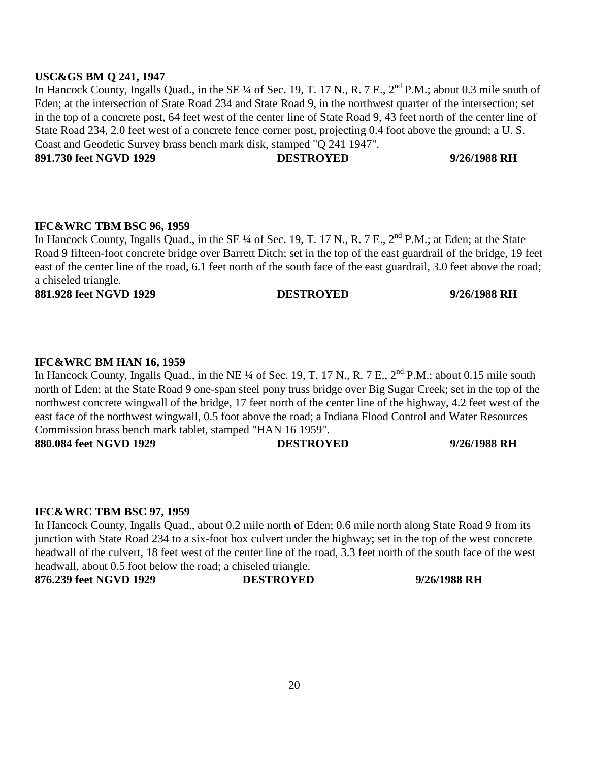### **USC&GS BM Q 241, 1947**

In Hancock County, Ingalls Quad., in the SE ¼ of Sec. 19, T. 17 N., R. 7 E., 2<sup>nd</sup> P.M.; about 0.3 mile south of Eden; at the intersection of State Road 234 and State Road 9, in the northwest quarter of the intersection; set in the top of a concrete post, 64 feet west of the center line of State Road 9, 43 feet north of the center line of State Road 234, 2.0 feet west of a concrete fence corner post, projecting 0.4 foot above the ground; a U. S. Coast and Geodetic Survey brass bench mark disk, stamped "Q 241 1947".

**891.730 feet NGVD 1929 DESTROYED 9/26/1988 RH** 

#### **IFC&WRC TBM BSC 96, 1959**

In Hancock County, Ingalls Quad., in the SE ¼ of Sec. 19, T. 17 N., R. 7 E., 2<sup>nd</sup> P.M.; at Eden; at the State Road 9 fifteen-foot concrete bridge over Barrett Ditch; set in the top of the east guardrail of the bridge, 19 feet east of the center line of the road, 6.1 feet north of the south face of the east guardrail, 3.0 feet above the road; a chiseled triangle.

**881.928 feet NGVD 1929 DESTROYED 9/26/1988 RH** 

### **IFC&WRC BM HAN 16, 1959**

In Hancock County, Ingalls Quad., in the NE ¼ of Sec. 19, T. 17 N., R. 7 E., 2<sup>nd</sup> P.M.; about 0.15 mile south north of Eden; at the State Road 9 one-span steel pony truss bridge over Big Sugar Creek; set in the top of the northwest concrete wingwall of the bridge, 17 feet north of the center line of the highway, 4.2 feet west of the east face of the northwest wingwall, 0.5 foot above the road; a Indiana Flood Control and Water Resources Commission brass bench mark tablet, stamped "HAN 16 1959".

**880.084 feet NGVD 1929 DESTROYED 9/26/1988 RH** 

### **IFC&WRC TBM BSC 97, 1959**

In Hancock County, Ingalls Quad., about 0.2 mile north of Eden; 0.6 mile north along State Road 9 from its junction with State Road 234 to a six-foot box culvert under the highway; set in the top of the west concrete headwall of the culvert, 18 feet west of the center line of the road, 3.3 feet north of the south face of the west headwall, about 0.5 foot below the road; a chiseled triangle.

**876.239 feet NGVD 1929 DESTROYED 9/26/1988 RH**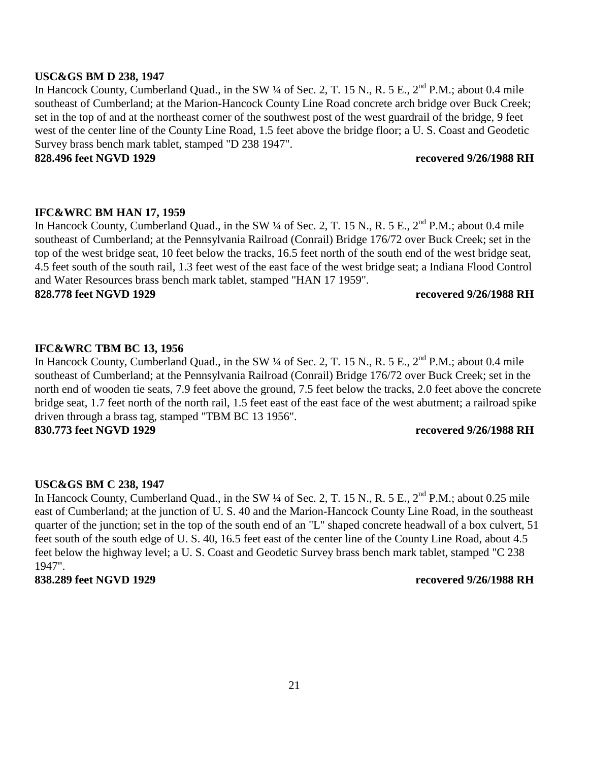#### **USC&GS BM D 238, 1947**

In Hancock County, Cumberland Quad., in the SW <sup>1</sup>/4 of Sec. 2, T. 15 N., R. 5 E., 2<sup>nd</sup> P.M.; about 0.4 mile southeast of Cumberland; at the Marion-Hancock County Line Road concrete arch bridge over Buck Creek; set in the top of and at the northeast corner of the southwest post of the west guardrail of the bridge, 9 feet west of the center line of the County Line Road, 1.5 feet above the bridge floor; a U. S. Coast and Geodetic Survey brass bench mark tablet, stamped "D 238 1947".

**828.496 feet NGVD 1929 recovered 9/26/1988 RH** 

### **IFC&WRC BM HAN 17, 1959**

In Hancock County, Cumberland Quad., in the SW <sup>1</sup>/4 of Sec. 2, T. 15 N., R. 5 E., 2<sup>nd</sup> P.M.; about 0.4 mile southeast of Cumberland; at the Pennsylvania Railroad (Conrail) Bridge 176/72 over Buck Creek; set in the top of the west bridge seat, 10 feet below the tracks, 16.5 feet north of the south end of the west bridge seat, 4.5 feet south of the south rail, 1.3 feet west of the east face of the west bridge seat; a Indiana Flood Control and Water Resources brass bench mark tablet, stamped "HAN 17 1959".

**828.778 feet NGVD 1929 recovered 9/26/1988 RH** 

### **IFC&WRC TBM BC 13, 1956**

In Hancock County, Cumberland Quad., in the SW ¼ of Sec. 2, T. 15 N., R. 5 E., 2<sup>nd</sup> P.M.; about 0.4 mile southeast of Cumberland; at the Pennsylvania Railroad (Conrail) Bridge 176/72 over Buck Creek; set in the north end of wooden tie seats, 7.9 feet above the ground, 7.5 feet below the tracks, 2.0 feet above the concrete bridge seat, 1.7 feet north of the north rail, 1.5 feet east of the east face of the west abutment; a railroad spike driven through a brass tag, stamped "TBM BC 13 1956". **830.773 feet NGVD 1929 recovered 9/26/1988 RH** 

### **USC&GS BM C 238, 1947**

In Hancock County, Cumberland Quad., in the SW ¼ of Sec. 2, T. 15 N., R. 5 E., 2<sup>nd</sup> P.M.; about 0.25 mile east of Cumberland; at the junction of U. S. 40 and the Marion-Hancock County Line Road, in the southeast quarter of the junction; set in the top of the south end of an "L" shaped concrete headwall of a box culvert, 51 feet south of the south edge of U. S. 40, 16.5 feet east of the center line of the County Line Road, about 4.5 feet below the highway level; a U. S. Coast and Geodetic Survey brass bench mark tablet, stamped "C 238 1947".

### **838.289 feet NGVD 1929 recovered 9/26/1988 RH**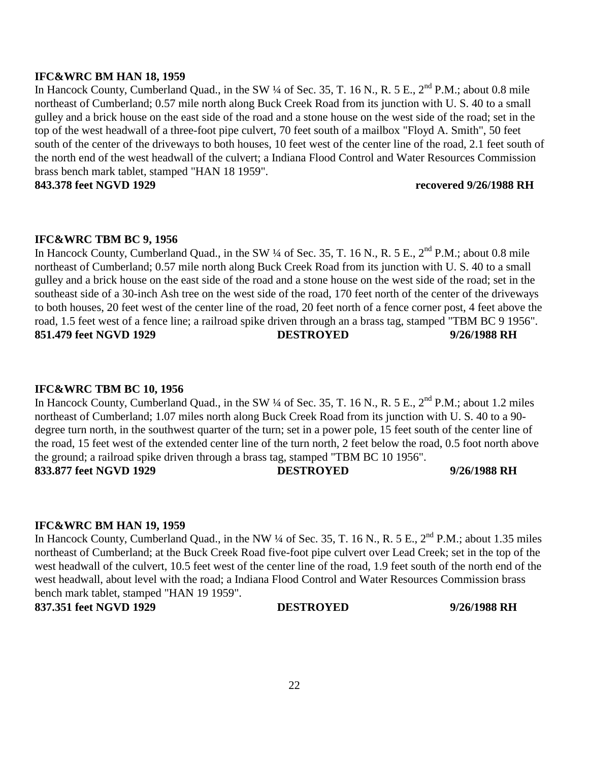In Hancock County, Cumberland Quad., in the SW ¼ of Sec. 35, T. 16 N., R. 5 E., 2<sup>nd</sup> P.M.; about 0.8 mile northeast of Cumberland; 0.57 mile north along Buck Creek Road from its junction with U. S. 40 to a small gulley and a brick house on the east side of the road and a stone house on the west side of the road; set in the southeast side of a 30-inch Ash tree on the west side of the road, 170 feet north of the center of the driveways to both houses, 20 feet west of the center line of the road, 20 feet north of a fence corner post, 4 feet above the road, 1.5 feet west of a fence line; a railroad spike driven through an a brass tag, stamped "TBM BC 9 1956". **851.479 feet NGVD 1929 DESTROYED 9/26/1988 RH** 

## **IFC&WRC TBM BC 9, 1956**

## **IFC&WRC TBM BC 10, 1956**

In Hancock County, Cumberland Quad., in the SW ¼ of Sec. 35, T. 16 N., R. 5 E., 2<sup>nd</sup> P.M.; about 1.2 miles northeast of Cumberland; 1.07 miles north along Buck Creek Road from its junction with U. S. 40 to a 90 degree turn north, in the southwest quarter of the turn; set in a power pole, 15 feet south of the center line of the road, 15 feet west of the extended center line of the turn north, 2 feet below the road, 0.5 foot north above the ground; a railroad spike driven through a brass tag, stamped "TBM BC 10 1956". **833.877 feet NGVD 1929 DESTROYED 9/26/1988 RH** 

## **IFC&WRC BM HAN 19, 1959**

22

In Hancock County, Cumberland Quad., in the NW ¼ of Sec. 35, T. 16 N., R. 5 E., 2<sup>nd</sup> P.M.; about 1.35 miles northeast of Cumberland; at the Buck Creek Road five-foot pipe culvert over Lead Creek; set in the top of the west headwall of the culvert, 10.5 feet west of the center line of the road, 1.9 feet south of the north end of the west headwall, about level with the road; a Indiana Flood Control and Water Resources Commission brass bench mark tablet, stamped "HAN 19 1959".

**837.351 feet NGVD 1929 DESTROYED 9/26/1988 RH** 

**IFC&WRC BM HAN 18, 1959** 

In Hancock County, Cumberland Quad., in the SW ¼ of Sec. 35, T. 16 N., R. 5 E., 2<sup>nd</sup> P.M.; about 0.8 mile northeast of Cumberland; 0.57 mile north along Buck Creek Road from its junction with U. S. 40 to a small gulley and a brick house on the east side of the road and a stone house on the west side of the road; set in the top of the west headwall of a three-foot pipe culvert, 70 feet south of a mailbox "Floyd A. Smith", 50 feet south of the center of the driveways to both houses, 10 feet west of the center line of the road, 2.1 feet south of the north end of the west headwall of the culvert; a Indiana Flood Control and Water Resources Commission brass bench mark tablet, stamped "HAN 18 1959".

**843.378 feet NGVD 1929 recovered 9/26/1988 RH**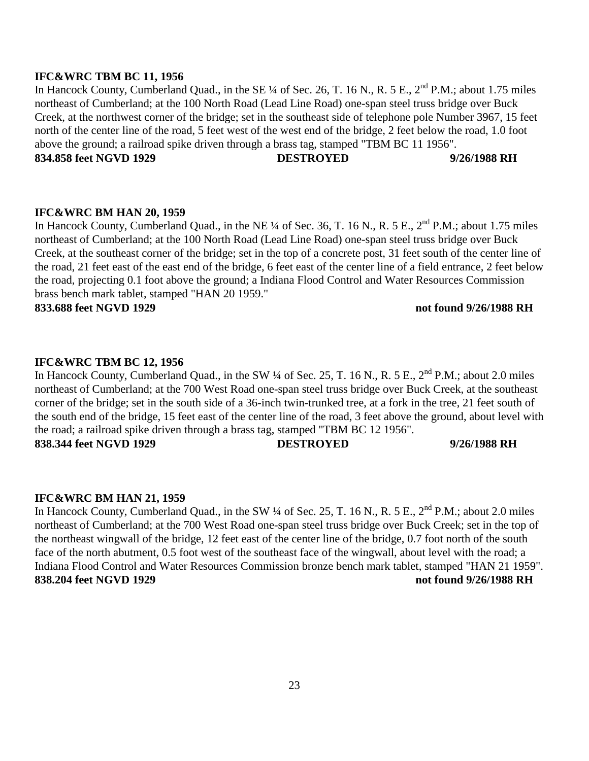#### **IFC&WRC TBM BC 11, 1956**

In Hancock County, Cumberland Quad., in the SE ¼ of Sec. 26, T. 16 N., R. 5 E., 2<sup>nd</sup> P.M.; about 1.75 miles northeast of Cumberland; at the 100 North Road (Lead Line Road) one-span steel truss bridge over Buck Creek, at the northwest corner of the bridge; set in the southeast side of telephone pole Number 3967, 15 feet north of the center line of the road, 5 feet west of the west end of the bridge, 2 feet below the road, 1.0 foot above the ground; a railroad spike driven through a brass tag, stamped "TBM BC 11 1956". **834.858 feet NGVD 1929 DESTROYED 9/26/1988 RH** 

# **IFC&WRC BM HAN 20, 1959**

In Hancock County, Cumberland Quad., in the NE ¼ of Sec. 36, T. 16 N., R. 5 E., 2<sup>nd</sup> P.M.; about 1.75 miles northeast of Cumberland; at the 100 North Road (Lead Line Road) one-span steel truss bridge over Buck Creek, at the southeast corner of the bridge; set in the top of a concrete post, 31 feet south of the center line of the road, 21 feet east of the east end of the bridge, 6 feet east of the center line of a field entrance, 2 feet below the road, projecting 0.1 foot above the ground; a Indiana Flood Control and Water Resources Commission brass bench mark tablet, stamped "HAN 20 1959."

**833.688 feet NGVD 1929 not found 9/26/1988 RH** 

#### **IFC&WRC TBM BC 12, 1956**

In Hancock County, Cumberland Quad., in the SW  $\frac{1}{4}$  of Sec. 25, T. 16 N., R. 5 E.,  $2^{nd}$  P.M.; about 2.0 miles northeast of Cumberland; at the 700 West Road one-span steel truss bridge over Buck Creek, at the southeast corner of the bridge; set in the south side of a 36-inch twin-trunked tree, at a fork in the tree, 21 feet south of the south end of the bridge, 15 feet east of the center line of the road, 3 feet above the ground, about level with the road; a railroad spike driven through a brass tag, stamped "TBM BC 12 1956". **838.344 feet NGVD 1929 DESTROYED 9/26/1988 RH** 

#### **IFC&WRC BM HAN 21, 1959**

In Hancock County, Cumberland Quad., in the SW <sup>1</sup>/4 of Sec. 25, T. 16 N., R. 5 E., 2<sup>nd</sup> P.M.; about 2.0 miles northeast of Cumberland; at the 700 West Road one-span steel truss bridge over Buck Creek; set in the top of the northeast wingwall of the bridge, 12 feet east of the center line of the bridge, 0.7 foot north of the south face of the north abutment, 0.5 foot west of the southeast face of the wingwall, about level with the road; a Indiana Flood Control and Water Resources Commission bronze bench mark tablet, stamped "HAN 21 1959". **838.204 feet NGVD 1929 not found 9/26/1988 RH**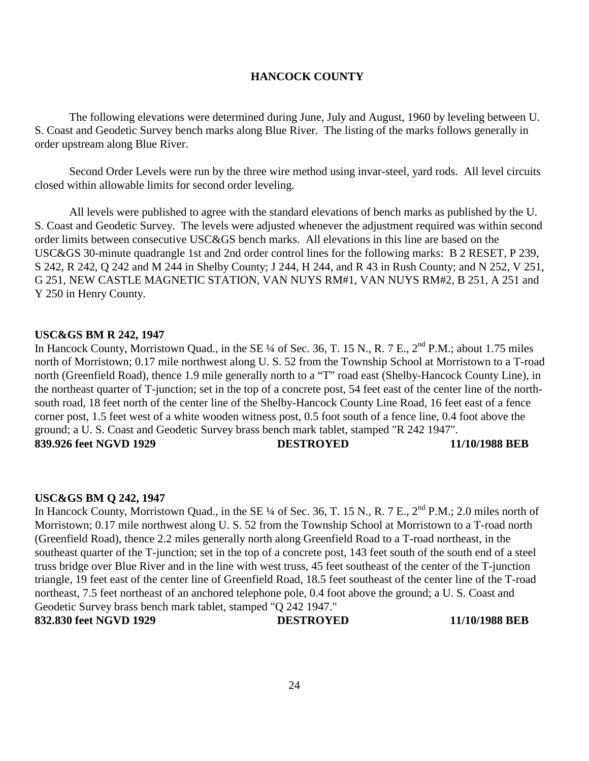### **HANCOCK COUNTY**

The following elevations were determined during June, July and August, 1960 by leveling between U. S. Coast and Geodetic Survey bench marks along Blue River. The listing of the marks follows generally in order upstream along Blue River.

Second Order Levels were run by the three wire method using invar-steel, yard rods. All level circuits closed within allowable limits for second order leveling.

All levels were published to agree with the standard elevations of bench marks as published by the U. S. Coast and Geodetic Survey. The levels were adjusted whenever the adjustment required was within second order limits between consecutive USC&GS bench marks. All elevations in this line are based on the USC&GS 30-minute quadrangle 1st and 2nd order control lines for the following marks: B 2 RESET, P 239, S 242, R 242, Q 242 and M 244 in Shelby County; J 244, H 244, and R 43 in Rush County; and N 252, V 251, G 251, NEW CASTLE MAGNETIC STATION, VAN NUYS RM#1, VAN NUYS RM#2, B 251, A 251 and Y 250 in Henry County.

#### **USC&GS BM R 242, 1947**

In Hancock County, Morristown Quad., in the SE ¼ of Sec. 36, T. 15 N., R. 7 E., 2<sup>nd</sup> P.M.; about 1.75 miles north of Morristown; 0.17 mile northwest along U. S. 52 from the Township School at Morristown to a T-road north (Greenfield Road), thence 1.9 mile generally north to a "T" road east (Shelby-Hancock County Line), in the northeast quarter of T-junction; set in the top of a concrete post, 54 feet east of the center line of the northsouth road, 18 feet north of the center line of the Shelby-Hancock County Line Road, 16 feet east of a fence corner post, 1.5 feet west of a white wooden witness post, 0.5 foot south of a fence line, 0.4 foot above the ground; a U. S. Coast and Geodetic Survey brass bench mark tablet, stamped "R 242 1947". **839.926 feet NGVD 1929 DESTROYED 11/10/1988 BEB** 

#### **USC&GS BM Q 242, 1947**

In Hancock County, Morristown Quad., in the SE ¼ of Sec. 36, T. 15 N., R. 7 E., 2<sup>nd</sup> P.M.; 2.0 miles north of Morristown; 0.17 mile northwest along U. S. 52 from the Township School at Morristown to a T-road north (Greenfield Road), thence 2.2 miles generally north along Greenfield Road to a T-road northeast, in the southeast quarter of the T-junction; set in the top of a concrete post, 143 feet south of the south end of a steel truss bridge over Blue River and in the line with west truss, 45 feet southeast of the center of the T-junction triangle, 19 feet east of the center line of Greenfield Road, 18.5 feet southeast of the center line of the T-road northeast, 7.5 feet northeast of an anchored telephone pole, 0.4 foot above the ground; a U. S. Coast and Geodetic Survey brass bench mark tablet, stamped "Q 242 1947." **832.830 feet NGVD 1929 DESTROYED 11/10/1988 BEB**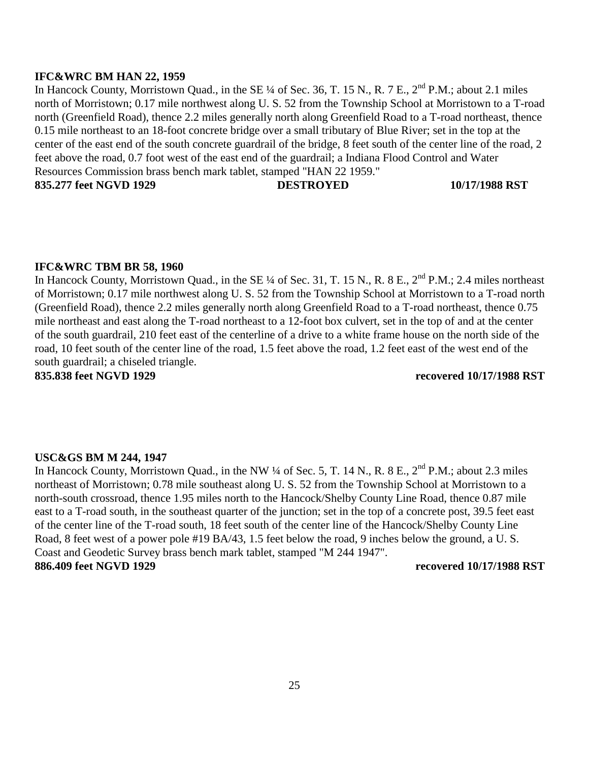#### **IFC&WRC BM HAN 22, 1959**

In Hancock County, Morristown Quad., in the SE ¼ of Sec. 36, T. 15 N., R. 7 E., 2<sup>nd</sup> P.M.; about 2.1 miles north of Morristown; 0.17 mile northwest along U. S. 52 from the Township School at Morristown to a T-road north (Greenfield Road), thence 2.2 miles generally north along Greenfield Road to a T-road northeast, thence 0.15 mile northeast to an 18-foot concrete bridge over a small tributary of Blue River; set in the top at the center of the east end of the south concrete guardrail of the bridge, 8 feet south of the center line of the road, 2 feet above the road, 0.7 foot west of the east end of the guardrail; a Indiana Flood Control and Water Resources Commission brass bench mark tablet, stamped "HAN 22 1959." **835.277 feet NGVD 1929 DESTROYED 10/17/1988 RST** 

#### **IFC&WRC TBM BR 58, 1960**

In Hancock County, Morristown Quad., in the SE ¼ of Sec. 31, T. 15 N., R. 8 E., 2<sup>nd</sup> P.M.; 2.4 miles northeast of Morristown; 0.17 mile northwest along U. S. 52 from the Township School at Morristown to a T-road north (Greenfield Road), thence 2.2 miles generally north along Greenfield Road to a T-road northeast, thence 0.75 mile northeast and east along the T-road northeast to a 12-foot box culvert, set in the top of and at the center of the south guardrail, 210 feet east of the centerline of a drive to a white frame house on the north side of the road, 10 feet south of the center line of the road, 1.5 feet above the road, 1.2 feet east of the west end of the south guardrail; a chiseled triangle.

**835.838 feet NGVD 1929 recovered 10/17/1988 RST** 

#### **USC&GS BM M 244, 1947**

In Hancock County, Morristown Quad., in the NW  $\frac{1}{4}$  of Sec. 5, T. 14 N., R. 8 E.,  $2^{nd}$  P.M.; about 2.3 miles northeast of Morristown; 0.78 mile southeast along U. S. 52 from the Township School at Morristown to a north-south crossroad, thence 1.95 miles north to the Hancock/Shelby County Line Road, thence 0.87 mile east to a T-road south, in the southeast quarter of the junction; set in the top of a concrete post, 39.5 feet east of the center line of the T-road south, 18 feet south of the center line of the Hancock/Shelby County Line Road, 8 feet west of a power pole #19 BA/43, 1.5 feet below the road, 9 inches below the ground, a U. S. Coast and Geodetic Survey brass bench mark tablet, stamped "M 244 1947". **886.409 feet NGVD 1929 recovered 10/17/1988 RST**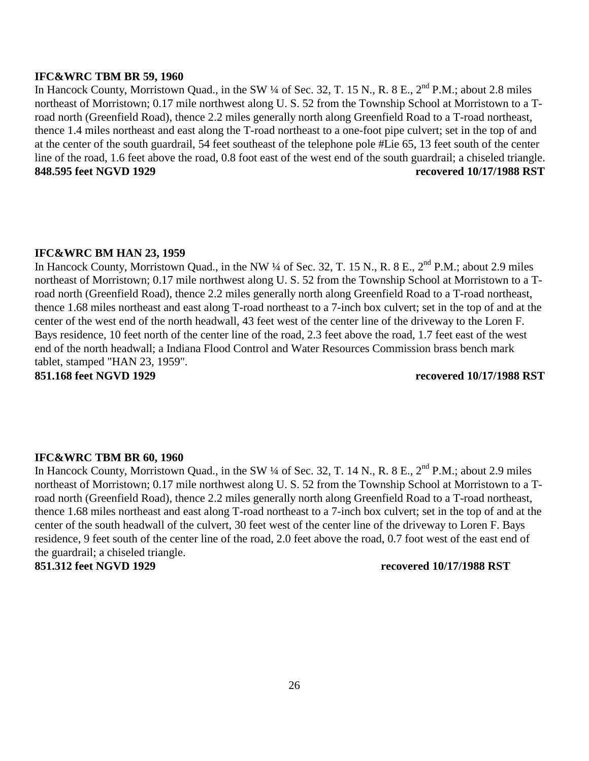#### **IFC&WRC TBM BR 59, 1960**

In Hancock County, Morristown Quad., in the SW ¼ of Sec. 32, T. 15 N., R. 8 E., 2<sup>nd</sup> P.M.; about 2.8 miles northeast of Morristown; 0.17 mile northwest along U. S. 52 from the Township School at Morristown to a Troad north (Greenfield Road), thence 2.2 miles generally north along Greenfield Road to a T-road northeast, thence 1.4 miles northeast and east along the T-road northeast to a one-foot pipe culvert; set in the top of and at the center of the south guardrail, 54 feet southeast of the telephone pole #Lie 65, 13 feet south of the center line of the road, 1.6 feet above the road, 0.8 foot east of the west end of the south guardrail; a chiseled triangle. **848.595 feet NGVD 1929 recovered 10/17/1988 RST** 

#### **IFC&WRC BM HAN 23, 1959**

In Hancock County, Morristown Quad., in the NW ¼ of Sec. 32, T. 15 N., R. 8 E., 2<sup>nd</sup> P.M.; about 2.9 miles northeast of Morristown; 0.17 mile northwest along U. S. 52 from the Township School at Morristown to a Troad north (Greenfield Road), thence 2.2 miles generally north along Greenfield Road to a T-road northeast, thence 1.68 miles northeast and east along T-road northeast to a 7-inch box culvert; set in the top of and at the center of the west end of the north headwall, 43 feet west of the center line of the driveway to the Loren F. Bays residence, 10 feet north of the center line of the road, 2.3 feet above the road, 1.7 feet east of the west end of the north headwall; a Indiana Flood Control and Water Resources Commission brass bench mark tablet, stamped "HAN 23, 1959".

**851.168 feet NGVD 1929 recovered 10/17/1988 RST** 

### **IFC&WRC TBM BR 60, 1960**

In Hancock County, Morristown Quad., in the SW ¼ of Sec. 32, T. 14 N., R. 8 E., 2<sup>nd</sup> P.M.; about 2.9 miles northeast of Morristown; 0.17 mile northwest along U. S. 52 from the Township School at Morristown to a Troad north (Greenfield Road), thence 2.2 miles generally north along Greenfield Road to a T-road northeast, thence 1.68 miles northeast and east along T-road northeast to a 7-inch box culvert; set in the top of and at the center of the south headwall of the culvert, 30 feet west of the center line of the driveway to Loren F. Bays residence, 9 feet south of the center line of the road, 2.0 feet above the road, 0.7 foot west of the east end of the guardrail; a chiseled triangle.

#### **851.312 feet NGVD 1929 recovered 10/17/1988 RST**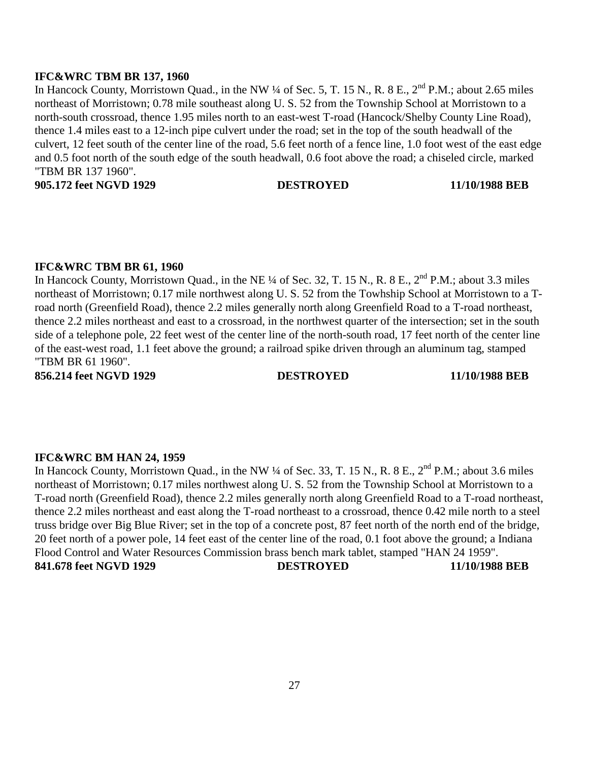### **IFC&WRC TBM BR 137, 1960**

In Hancock County, Morristown Quad., in the NW  $\frac{1}{4}$  of Sec. 5, T. 15 N., R. 8 E.,  $2^{nd}$  P.M.; about 2.65 miles northeast of Morristown; 0.78 mile southeast along U. S. 52 from the Township School at Morristown to a north-south crossroad, thence 1.95 miles north to an east-west T-road (Hancock/Shelby County Line Road), thence 1.4 miles east to a 12-inch pipe culvert under the road; set in the top of the south headwall of the culvert, 12 feet south of the center line of the road, 5.6 feet north of a fence line, 1.0 foot west of the east edge and 0.5 foot north of the south edge of the south headwall, 0.6 foot above the road; a chiseled circle, marked "TBM BR 137 1960".

**905.172 feet NGVD 1929 DESTROYED 11/10/1988 BEB** 

#### **IFC&WRC TBM BR 61, 1960**

In Hancock County, Morristown Quad., in the NE ¼ of Sec. 32, T. 15 N., R. 8 E., 2<sup>nd</sup> P.M.; about 3.3 miles northeast of Morristown; 0.17 mile northwest along U. S. 52 from the Towhship School at Morristown to a Troad north (Greenfield Road), thence 2.2 miles generally north along Greenfield Road to a T-road northeast, thence 2.2 miles northeast and east to a crossroad, in the northwest quarter of the intersection; set in the south side of a telephone pole, 22 feet west of the center line of the north-south road, 17 feet north of the center line of the east-west road, 1.1 feet above the ground; a railroad spike driven through an aluminum tag, stamped "TBM BR 61 1960".

**856.214 feet NGVD 1929 DESTROYED 11/10/1988 BEB** 

#### **IFC&WRC BM HAN 24, 1959**

In Hancock County, Morristown Quad., in the NW ¼ of Sec. 33, T. 15 N., R. 8 E., 2<sup>nd</sup> P.M.; about 3.6 miles northeast of Morristown; 0.17 miles northwest along U. S. 52 from the Township School at Morristown to a T-road north (Greenfield Road), thence 2.2 miles generally north along Greenfield Road to a T-road northeast, thence 2.2 miles northeast and east along the T-road northeast to a crossroad, thence 0.42 mile north to a steel truss bridge over Big Blue River; set in the top of a concrete post, 87 feet north of the north end of the bridge, 20 feet north of a power pole, 14 feet east of the center line of the road, 0.1 foot above the ground; a Indiana Flood Control and Water Resources Commission brass bench mark tablet, stamped "HAN 24 1959". **841.678 feet NGVD 1929 DESTROYED 11/10/1988 BEB**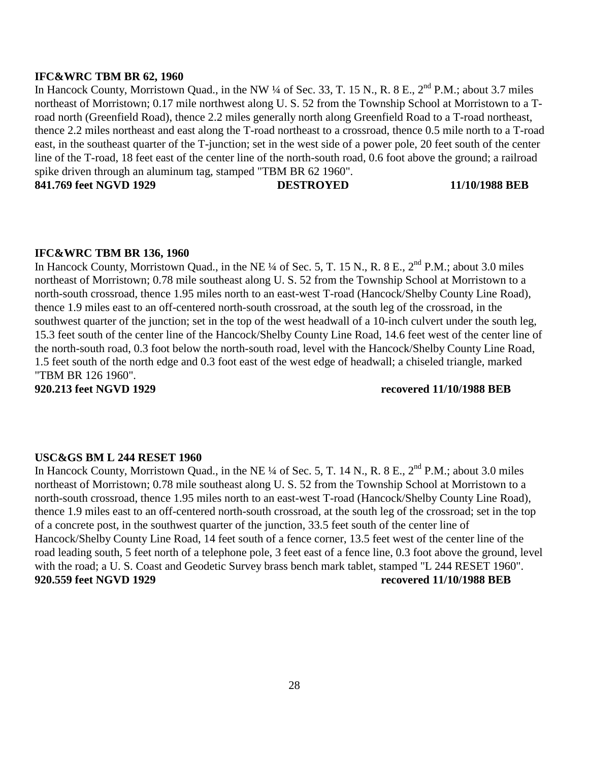#### **IFC&WRC TBM BR 62, 1960**

In Hancock County, Morristown Quad., in the NW ¼ of Sec. 33, T. 15 N., R. 8 E., 2<sup>nd</sup> P.M.; about 3.7 miles northeast of Morristown; 0.17 mile northwest along U. S. 52 from the Township School at Morristown to a Troad north (Greenfield Road), thence 2.2 miles generally north along Greenfield Road to a T-road northeast, thence 2.2 miles northeast and east along the T-road northeast to a crossroad, thence 0.5 mile north to a T-road east, in the southeast quarter of the T-junction; set in the west side of a power pole, 20 feet south of the center line of the T-road, 18 feet east of the center line of the north-south road, 0.6 foot above the ground; a railroad spike driven through an aluminum tag, stamped "TBM BR 62 1960". **841.769 feet NGVD 1929 DESTROYED 11/10/1988 BEB** 

**IFC&WRC TBM BR 136, 1960** 

In Hancock County, Morristown Quad., in the NE ¼ of Sec. 5, T. 15 N., R. 8 E.,  $2^{nd}$  P.M.; about 3.0 miles northeast of Morristown; 0.78 mile southeast along U. S. 52 from the Township School at Morristown to a north-south crossroad, thence 1.95 miles north to an east-west T-road (Hancock/Shelby County Line Road), thence 1.9 miles east to an off-centered north-south crossroad, at the south leg of the crossroad, in the southwest quarter of the junction; set in the top of the west headwall of a 10-inch culvert under the south leg, 15.3 feet south of the center line of the Hancock/Shelby County Line Road, 14.6 feet west of the center line of the north-south road, 0.3 foot below the north-south road, level with the Hancock/Shelby County Line Road, 1.5 feet south of the north edge and 0.3 foot east of the west edge of headwall; a chiseled triangle, marked "TBM BR 126 1960".

**920.213 feet NGVD 1929 recovered 11/10/1988 BEB** 

#### **USC&GS BM L 244 RESET 1960**

In Hancock County, Morristown Quad., in the NE ¼ of Sec. 5, T. 14 N., R. 8 E., 2<sup>nd</sup> P.M.; about 3.0 miles northeast of Morristown; 0.78 mile southeast along U. S. 52 from the Township School at Morristown to a north-south crossroad, thence 1.95 miles north to an east-west T-road (Hancock/Shelby County Line Road), thence 1.9 miles east to an off-centered north-south crossroad, at the south leg of the crossroad; set in the top of a concrete post, in the southwest quarter of the junction, 33.5 feet south of the center line of Hancock/Shelby County Line Road, 14 feet south of a fence corner, 13.5 feet west of the center line of the road leading south, 5 feet north of a telephone pole, 3 feet east of a fence line, 0.3 foot above the ground, level with the road; a U. S. Coast and Geodetic Survey brass bench mark tablet, stamped "L 244 RESET 1960". **920.559 feet NGVD 1929 recovered 11/10/1988 BEB**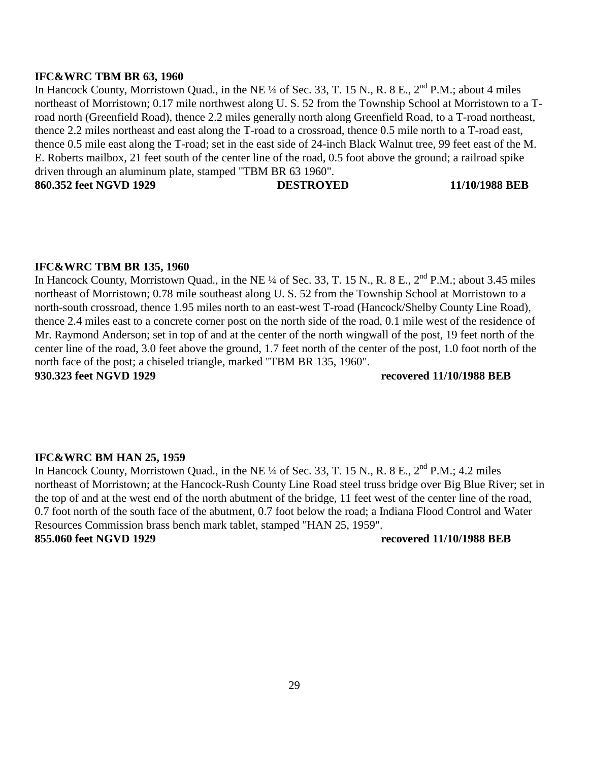#### **IFC&WRC TBM BR 63, 1960**

In Hancock County, Morristown Quad., in the NE ¼ of Sec. 33, T. 15 N., R. 8 E., 2<sup>nd</sup> P.M.; about 4 miles northeast of Morristown; 0.17 mile northwest along U. S. 52 from the Township School at Morristown to a Troad north (Greenfield Road), thence 2.2 miles generally north along Greenfield Road, to a T-road northeast, thence 2.2 miles northeast and east along the T-road to a crossroad, thence 0.5 mile north to a T-road east, thence 0.5 mile east along the T-road; set in the east side of 24-inch Black Walnut tree, 99 feet east of the M. E. Roberts mailbox, 21 feet south of the center line of the road, 0.5 foot above the ground; a railroad spike driven through an aluminum plate, stamped "TBM BR 63 1960". **860.352 feet NGVD 1929 DESTROYED 11/10/1988 BEB** 

**IFC&WRC TBM BR 135, 1960**  In Hancock County, Morristown Quad., in the NE ¼ of Sec. 33, T. 15 N., R. 8 E., 2<sup>nd</sup> P.M.; about 3.45 miles northeast of Morristown; 0.78 mile southeast along U. S. 52 from the Township School at Morristown to a north-south crossroad, thence 1.95 miles north to an east-west T-road (Hancock/Shelby County Line Road), thence 2.4 miles east to a concrete corner post on the north side of the road, 0.1 mile west of the residence of Mr. Raymond Anderson; set in top of and at the center of the north wingwall of the post, 19 feet north of the center line of the road, 3.0 feet above the ground, 1.7 feet north of the center of the post, 1.0 foot north of the north face of the post; a chiseled triangle, marked "TBM BR 135, 1960".

**930.323 feet NGVD 1929 recovered 11/10/1988 BEB** 

#### **IFC&WRC BM HAN 25, 1959**

In Hancock County, Morristown Quad., in the NE  $\frac{1}{4}$  of Sec. 33, T. 15 N., R. 8 E.,  $2^{nd}$  P.M.; 4.2 miles northeast of Morristown; at the Hancock-Rush County Line Road steel truss bridge over Big Blue River; set in the top of and at the west end of the north abutment of the bridge, 11 feet west of the center line of the road, 0.7 foot north of the south face of the abutment, 0.7 foot below the road; a Indiana Flood Control and Water Resources Commission brass bench mark tablet, stamped "HAN 25, 1959". **855.060 feet NGVD 1929 recovered 11/10/1988 BEB**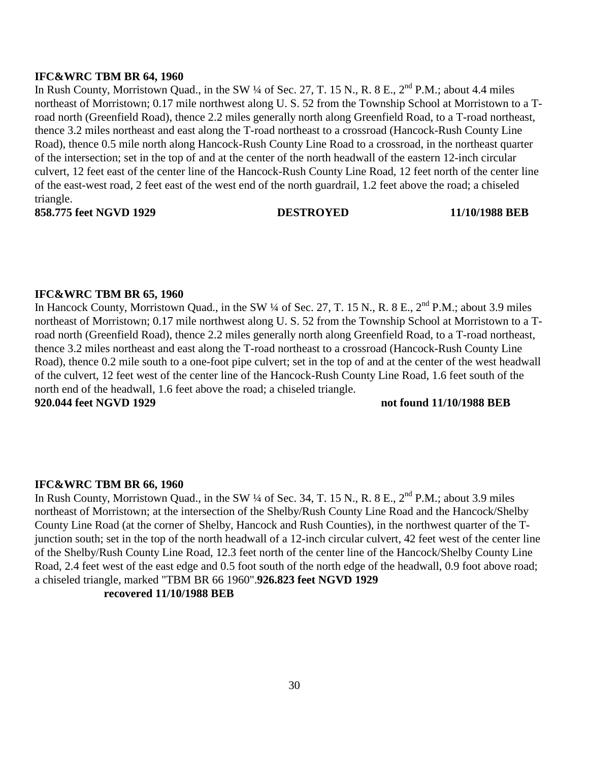#### **IFC&WRC TBM BR 64, 1960**

In Rush County, Morristown Quad., in the SW  $\frac{1}{4}$  of Sec. 27, T. 15 N., R. 8 E.,  $2^{nd}$  P.M.; about 4.4 miles northeast of Morristown; 0.17 mile northwest along U. S. 52 from the Township School at Morristown to a Troad north (Greenfield Road), thence 2.2 miles generally north along Greenfield Road, to a T-road northeast, thence 3.2 miles northeast and east along the T-road northeast to a crossroad (Hancock-Rush County Line Road), thence 0.5 mile north along Hancock-Rush County Line Road to a crossroad, in the northeast quarter of the intersection; set in the top of and at the center of the north headwall of the eastern 12-inch circular culvert, 12 feet east of the center line of the Hancock-Rush County Line Road, 12 feet north of the center line of the east-west road, 2 feet east of the west end of the north guardrail, 1.2 feet above the road; a chiseled triangle.

**858.775 feet NGVD 1929 DESTROYED 11/10/1988 BEB** 

#### **IFC&WRC TBM BR 65, 1960**

In Hancock County, Morristown Quad., in the SW  $\frac{1}{4}$  of Sec. 27, T. 15 N., R. 8 E.,  $2^{nd}$  P.M.; about 3.9 miles northeast of Morristown; 0.17 mile northwest along U. S. 52 from the Township School at Morristown to a Troad north (Greenfield Road), thence 2.2 miles generally north along Greenfield Road, to a T-road northeast, thence 3.2 miles northeast and east along the T-road northeast to a crossroad (Hancock-Rush County Line Road), thence 0.2 mile south to a one-foot pipe culvert; set in the top of and at the center of the west headwall of the culvert, 12 feet west of the center line of the Hancock-Rush County Line Road, 1.6 feet south of the north end of the headwall, 1.6 feet above the road; a chiseled triangle.

### **920.044 feet NGVD 1929 not found 11/10/1988 BEB**

#### **IFC&WRC TBM BR 66, 1960**

In Rush County, Morristown Quad., in the SW ¼ of Sec. 34, T. 15 N., R. 8 E.,  $2<sup>nd</sup>$  P.M.; about 3.9 miles northeast of Morristown; at the intersection of the Shelby/Rush County Line Road and the Hancock/Shelby County Line Road (at the corner of Shelby, Hancock and Rush Counties), in the northwest quarter of the Tjunction south; set in the top of the north headwall of a 12-inch circular culvert, 42 feet west of the center line of the Shelby/Rush County Line Road, 12.3 feet north of the center line of the Hancock/Shelby County Line Road, 2.4 feet west of the east edge and 0.5 foot south of the north edge of the headwall, 0.9 foot above road; a chiseled triangle, marked "TBM BR 66 1960".**926.823 feet NGVD 1929** 

### **recovered 11/10/1988 BEB**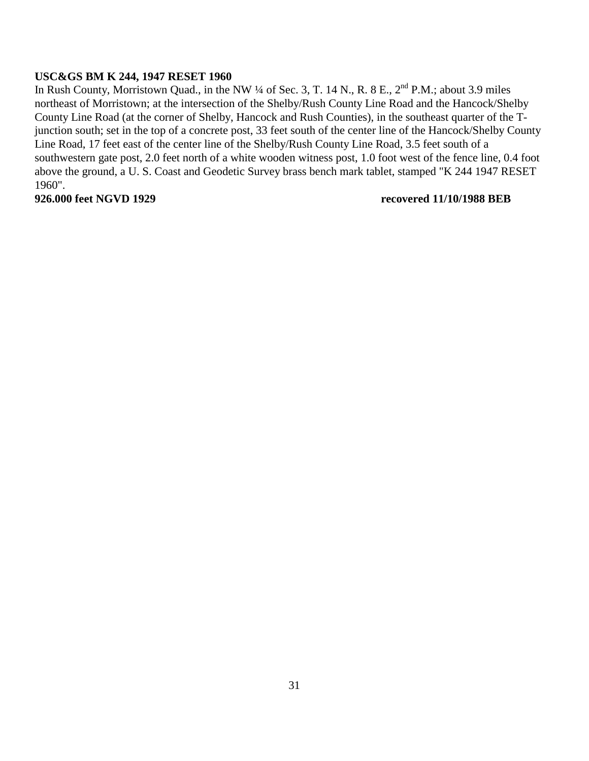### **USC&GS BM K 244, 1947 RESET 1960**

In Rush County, Morristown Quad., in the NW ¼ of Sec. 3, T. 14 N., R. 8 E., 2<sup>nd</sup> P.M.; about 3.9 miles northeast of Morristown; at the intersection of the Shelby/Rush County Line Road and the Hancock/Shelby County Line Road (at the corner of Shelby, Hancock and Rush Counties), in the southeast quarter of the Tjunction south; set in the top of a concrete post, 33 feet south of the center line of the Hancock/Shelby County Line Road, 17 feet east of the center line of the Shelby/Rush County Line Road, 3.5 feet south of a southwestern gate post, 2.0 feet north of a white wooden witness post, 1.0 foot west of the fence line, 0.4 foot above the ground, a U. S. Coast and Geodetic Survey brass bench mark tablet, stamped "K 244 1947 RESET 1960".

### **926.000 feet NGVD 1929 recovered 11/10/1988 BEB**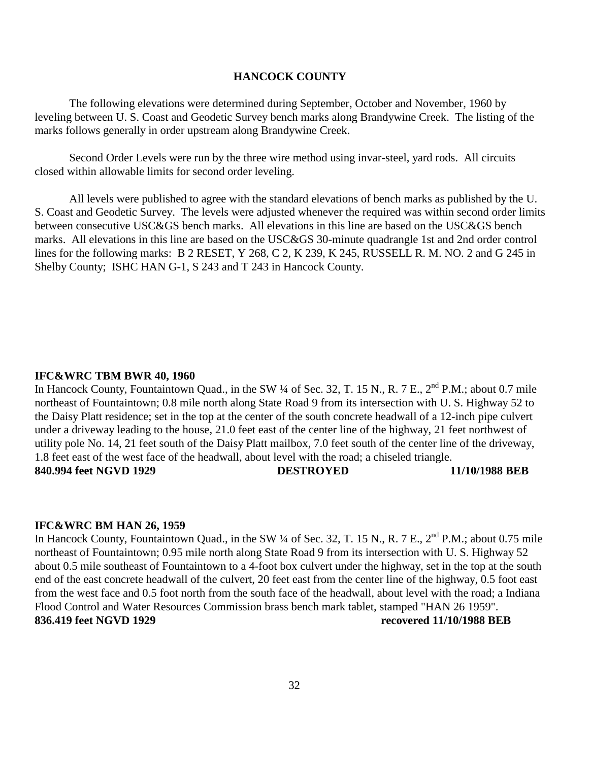#### **HANCOCK COUNTY**

The following elevations were determined during September, October and November, 1960 by leveling between U. S. Coast and Geodetic Survey bench marks along Brandywine Creek. The listing of the marks follows generally in order upstream along Brandywine Creek.

Second Order Levels were run by the three wire method using invar-steel, yard rods. All circuits closed within allowable limits for second order leveling.

All levels were published to agree with the standard elevations of bench marks as published by the U. S. Coast and Geodetic Survey. The levels were adjusted whenever the required was within second order limits between consecutive USC&GS bench marks. All elevations in this line are based on the USC&GS bench marks. All elevations in this line are based on the USC&GS 30-minute quadrangle 1st and 2nd order control lines for the following marks: B 2 RESET, Y 268, C 2, K 239, K 245, RUSSELL R. M. NO. 2 and G 245 in Shelby County; ISHC HAN G-1, S 243 and T 243 in Hancock County.

#### **IFC&WRC TBM BWR 40, 1960**

In Hancock County, Fountaintown Quad., in the SW  $\frac{1}{4}$  of Sec. 32, T. 15 N., R. 7 E., 2<sup>nd</sup> P.M.; about 0.7 mile northeast of Fountaintown; 0.8 mile north along State Road 9 from its intersection with U. S. Highway 52 to the Daisy Platt residence; set in the top at the center of the south concrete headwall of a 12-inch pipe culvert under a driveway leading to the house, 21.0 feet east of the center line of the highway, 21 feet northwest of utility pole No. 14, 21 feet south of the Daisy Platt mailbox, 7.0 feet south of the center line of the driveway, 1.8 feet east of the west face of the headwall, about level with the road; a chiseled triangle. **840.994 feet NGVD 1929 DESTROYED 11/10/1988 BEB** 

#### **IFC&WRC BM HAN 26, 1959**

In Hancock County, Fountaintown Quad., in the SW ¼ of Sec. 32, T. 15 N., R. 7 E., 2<sup>nd</sup> P.M.; about 0.75 mile northeast of Fountaintown; 0.95 mile north along State Road 9 from its intersection with U. S. Highway 52 about 0.5 mile southeast of Fountaintown to a 4-foot box culvert under the highway, set in the top at the south end of the east concrete headwall of the culvert, 20 feet east from the center line of the highway, 0.5 foot east from the west face and 0.5 foot north from the south face of the headwall, about level with the road; a Indiana Flood Control and Water Resources Commission brass bench mark tablet, stamped "HAN 26 1959". **836.419 feet NGVD 1929 recovered 11/10/1988 BEB**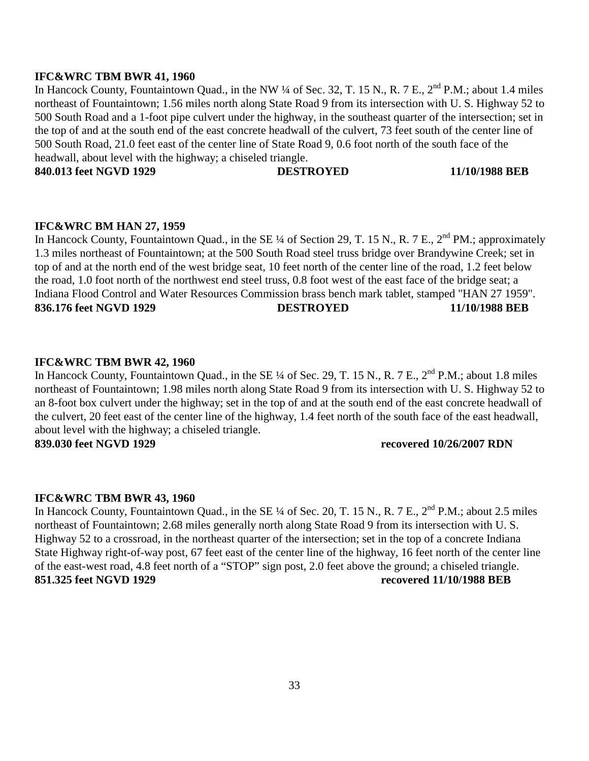#### **IFC&WRC TBM BWR 41, 1960**

In Hancock County, Fountaintown Quad., in the NW ¼ of Sec. 32, T. 15 N., R. 7 E., 2<sup>nd</sup> P.M.; about 1.4 miles northeast of Fountaintown; 1.56 miles north along State Road 9 from its intersection with U. S. Highway 52 to 500 South Road and a 1-foot pipe culvert under the highway, in the southeast quarter of the intersection; set in the top of and at the south end of the east concrete headwall of the culvert, 73 feet south of the center line of 500 South Road, 21.0 feet east of the center line of State Road 9, 0.6 foot north of the south face of the headwall, about level with the highway; a chiseled triangle.

**840.013 feet NGVD 1929 DESTROYED 11/10/1988 BEB** 

#### **IFC&WRC BM HAN 27, 1959**

In Hancock County, Fountaintown Quad., in the SE ¼ of Section 29, T. 15 N., R. 7 E., 2<sup>nd</sup> PM.; approximately 1.3 miles northeast of Fountaintown; at the 500 South Road steel truss bridge over Brandywine Creek; set in top of and at the north end of the west bridge seat, 10 feet north of the center line of the road, 1.2 feet below the road, 1.0 foot north of the northwest end steel truss, 0.8 foot west of the east face of the bridge seat; a Indiana Flood Control and Water Resources Commission brass bench mark tablet, stamped "HAN 27 1959". **836.176 feet NGVD 1929 DESTROYED 11/10/1988 BEB** 

#### **IFC&WRC TBM BWR 42, 1960**

In Hancock County, Fountaintown Quad., in the SE ¼ of Sec. 29, T. 15 N., R. 7 E., 2<sup>nd</sup> P.M.; about 1.8 miles northeast of Fountaintown; 1.98 miles north along State Road 9 from its intersection with U. S. Highway 52 to an 8-foot box culvert under the highway; set in the top of and at the south end of the east concrete headwall of the culvert, 20 feet east of the center line of the highway, 1.4 feet north of the south face of the east headwall, about level with the highway; a chiseled triangle. **839.030 feet NGVD 1929 recovered 10/26/2007 RDN** 

#### **IFC&WRC TBM BWR 43, 1960**

In Hancock County, Fountaintown Quad., in the SE ¼ of Sec. 20, T. 15 N., R. 7 E., 2<sup>nd</sup> P.M.; about 2.5 miles northeast of Fountaintown; 2.68 miles generally north along State Road 9 from its intersection with U. S. Highway 52 to a crossroad, in the northeast quarter of the intersection; set in the top of a concrete Indiana State Highway right-of-way post, 67 feet east of the center line of the highway, 16 feet north of the center line of the east-west road, 4.8 feet north of a "STOP" sign post, 2.0 feet above the ground; a chiseled triangle. **851.325 feet NGVD 1929 recovered 11/10/1988 BEB**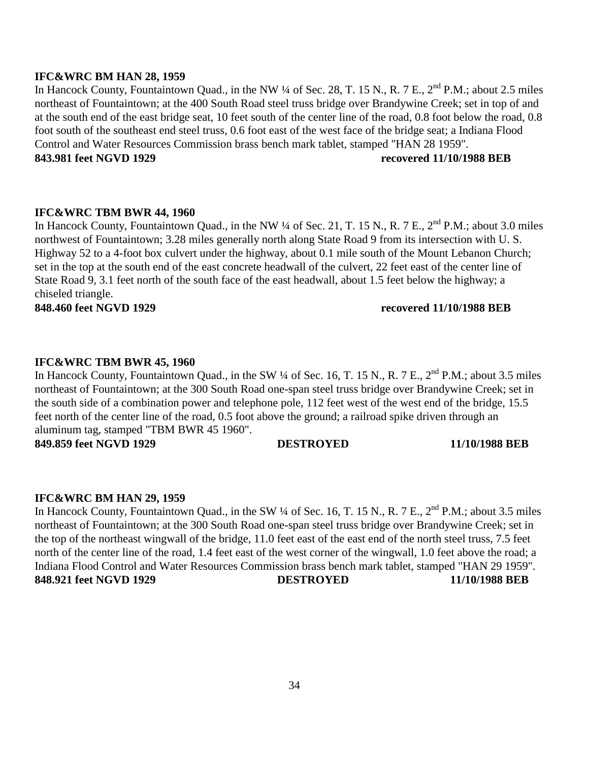#### **IFC&WRC BM HAN 28, 1959**

In Hancock County, Fountaintown Quad., in the NW ¼ of Sec. 28, T. 15 N., R. 7 E., 2<sup>nd</sup> P.M.; about 2.5 miles northeast of Fountaintown; at the 400 South Road steel truss bridge over Brandywine Creek; set in top of and at the south end of the east bridge seat, 10 feet south of the center line of the road, 0.8 foot below the road, 0.8 foot south of the southeast end steel truss, 0.6 foot east of the west face of the bridge seat; a Indiana Flood Control and Water Resources Commission brass bench mark tablet, stamped "HAN 28 1959". **843.981 feet NGVD 1929 recovered 11/10/1988 BEB** 

#### **IFC&WRC TBM BWR 44, 1960**

In Hancock County, Fountaintown Quad., in the NW ¼ of Sec. 21, T. 15 N., R. 7 E., 2<sup>nd</sup> P.M.; about 3.0 miles northwest of Fountaintown; 3.28 miles generally north along State Road 9 from its intersection with U. S. Highway 52 to a 4-foot box culvert under the highway, about 0.1 mile south of the Mount Lebanon Church; set in the top at the south end of the east concrete headwall of the culvert, 22 feet east of the center line of State Road 9, 3.1 feet north of the south face of the east headwall, about 1.5 feet below the highway; a chiseled triangle.

**848.460 feet NGVD 1929 recovered 11/10/1988 BEB** 

# **IFC&WRC TBM BWR 45, 1960**

In Hancock County, Fountaintown Quad., in the SW ¼ of Sec. 16, T. 15 N., R. 7 E., 2<sup>nd</sup> P.M.; about 3.5 miles northeast of Fountaintown; at the 300 South Road one-span steel truss bridge over Brandywine Creek; set in the south side of a combination power and telephone pole, 112 feet west of the west end of the bridge, 15.5 feet north of the center line of the road, 0.5 foot above the ground; a railroad spike driven through an aluminum tag, stamped "TBM BWR 45 1960". **849.859 feet NGVD 1929 DESTROYED 11/10/1988 BEB** 

### **IFC&WRC BM HAN 29, 1959**

In Hancock County, Fountaintown Quad., in the SW ¼ of Sec. 16, T. 15 N., R. 7 E., 2<sup>nd</sup> P.M.; about 3.5 miles northeast of Fountaintown; at the 300 South Road one-span steel truss bridge over Brandywine Creek; set in the top of the northeast wingwall of the bridge, 11.0 feet east of the east end of the north steel truss, 7.5 feet north of the center line of the road, 1.4 feet east of the west corner of the wingwall, 1.0 feet above the road; a Indiana Flood Control and Water Resources Commission brass bench mark tablet, stamped "HAN 29 1959". **848.921 feet NGVD 1929 DESTROYED 11/10/1988 BEB**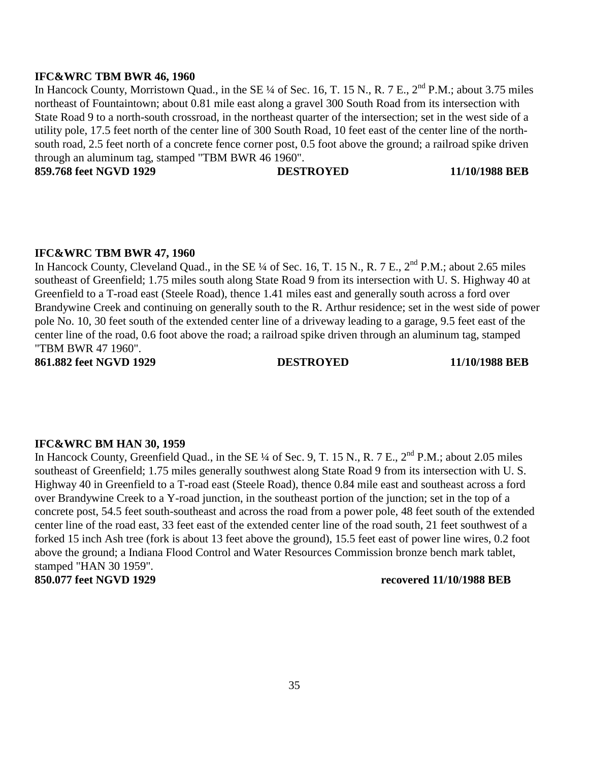#### **IFC&WRC TBM BWR 46, 1960**

In Hancock County, Morristown Quad., in the SE ¼ of Sec. 16, T. 15 N., R. 7 E., 2<sup>nd</sup> P.M.; about 3.75 miles northeast of Fountaintown; about 0.81 mile east along a gravel 300 South Road from its intersection with State Road 9 to a north-south crossroad, in the northeast quarter of the intersection; set in the west side of a utility pole, 17.5 feet north of the center line of 300 South Road, 10 feet east of the center line of the northsouth road, 2.5 feet north of a concrete fence corner post, 0.5 foot above the ground; a railroad spike driven through an aluminum tag, stamped "TBM BWR 46 1960".

**859.768 feet NGVD 1929 DESTROYED 11/10/1988 BEB** 

### **IFC&WRC TBM BWR 47, 1960**

In Hancock County, Cleveland Quad., in the SE ¼ of Sec. 16, T. 15 N., R. 7 E., 2<sup>nd</sup> P.M.; about 2.65 miles southeast of Greenfield; 1.75 miles south along State Road 9 from its intersection with U. S. Highway 40 at Greenfield to a T-road east (Steele Road), thence 1.41 miles east and generally south across a ford over Brandywine Creek and continuing on generally south to the R. Arthur residence; set in the west side of power pole No. 10, 30 feet south of the extended center line of a driveway leading to a garage, 9.5 feet east of the center line of the road, 0.6 foot above the road; a railroad spike driven through an aluminum tag, stamped "TBM BWR 47 1960".

**861.882 feet NGVD 1929 DESTROYED 11/10/1988 BEB** 

### **IFC&WRC BM HAN 30, 1959**

In Hancock County, Greenfield Quad., in the SE ¼ of Sec. 9, T. 15 N., R. 7 E., 2<sup>nd</sup> P.M.; about 2.05 miles southeast of Greenfield; 1.75 miles generally southwest along State Road 9 from its intersection with U. S. Highway 40 in Greenfield to a T-road east (Steele Road), thence 0.84 mile east and southeast across a ford over Brandywine Creek to a Y-road junction, in the southeast portion of the junction; set in the top of a concrete post, 54.5 feet south-southeast and across the road from a power pole, 48 feet south of the extended center line of the road east, 33 feet east of the extended center line of the road south, 21 feet southwest of a forked 15 inch Ash tree (fork is about 13 feet above the ground), 15.5 feet east of power line wires, 0.2 foot above the ground; a Indiana Flood Control and Water Resources Commission bronze bench mark tablet, stamped "HAN 30 1959".

#### **850.077 feet NGVD 1929 recovered 11/10/1988 BEB**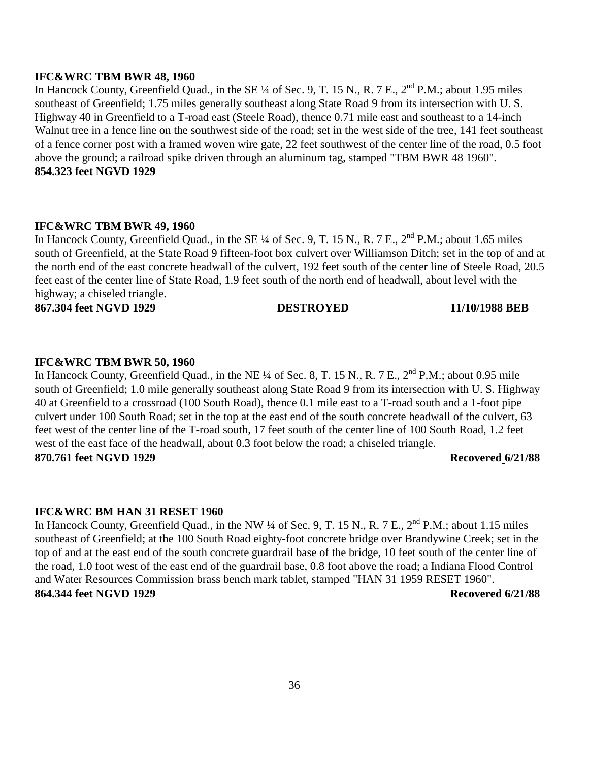#### **IFC&WRC TBM BWR 48, 1960**

In Hancock County, Greenfield Quad., in the SE  $\frac{1}{4}$  of Sec. 9, T. 15 N., R. 7 E.,  $2^{nd}$  P.M.; about 1.95 miles southeast of Greenfield; 1.75 miles generally southeast along State Road 9 from its intersection with U. S. Highway 40 in Greenfield to a T-road east (Steele Road), thence 0.71 mile east and southeast to a 14-inch Walnut tree in a fence line on the southwest side of the road; set in the west side of the tree, 141 feet southeast of a fence corner post with a framed woven wire gate, 22 feet southwest of the center line of the road, 0.5 foot above the ground; a railroad spike driven through an aluminum tag, stamped "TBM BWR 48 1960". **854.323 feet NGVD 1929** 

#### **IFC&WRC TBM BWR 49, 1960**

In Hancock County, Greenfield Quad., in the SE ¼ of Sec. 9, T. 15 N., R. 7 E., 2<sup>nd</sup> P.M.; about 1.65 miles south of Greenfield, at the State Road 9 fifteen-foot box culvert over Williamson Ditch; set in the top of and at the north end of the east concrete headwall of the culvert, 192 feet south of the center line of Steele Road, 20.5 feet east of the center line of State Road, 1.9 feet south of the north end of headwall, about level with the highway; a chiseled triangle.

**867.304 feet NGVD 1929 DESTROYED 11/10/1988 BEB** 

#### **IFC&WRC TBM BWR 50, 1960**

In Hancock County, Greenfield Quad., in the NE ¼ of Sec. 8, T. 15 N., R. 7 E., 2<sup>nd</sup> P.M.; about 0.95 mile south of Greenfield; 1.0 mile generally southeast along State Road 9 from its intersection with U. S. Highway 40 at Greenfield to a crossroad (100 South Road), thence 0.1 mile east to a T-road south and a 1-foot pipe culvert under 100 South Road; set in the top at the east end of the south concrete headwall of the culvert, 63 feet west of the center line of the T-road south, 17 feet south of the center line of 100 South Road, 1.2 feet west of the east face of the headwall, about 0.3 foot below the road; a chiseled triangle. **870.761 feet NGVD 1929 Recovered 6/21/88** 

#### **IFC&WRC BM HAN 31 RESET 1960**

In Hancock County, Greenfield Quad., in the NW ¼ of Sec. 9, T. 15 N., R. 7 E., 2<sup>nd</sup> P.M.; about 1.15 miles southeast of Greenfield; at the 100 South Road eighty-foot concrete bridge over Brandywine Creek; set in the top of and at the east end of the south concrete guardrail base of the bridge, 10 feet south of the center line of the road, 1.0 foot west of the east end of the guardrail base, 0.8 foot above the road; a Indiana Flood Control and Water Resources Commission brass bench mark tablet, stamped "HAN 31 1959 RESET 1960". **864.344 feet NGVD 1929 Recovered 6/21/88**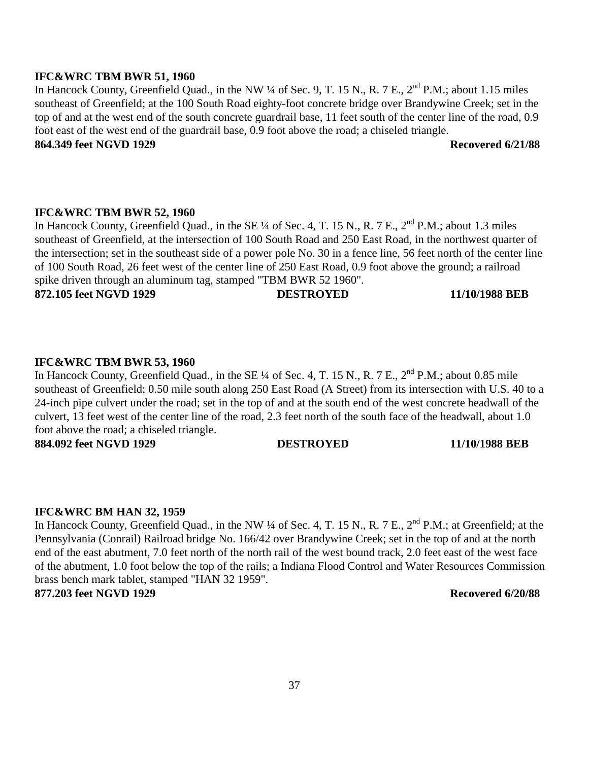#### **IFC&WRC TBM BWR 51, 1960**

In Hancock County, Greenfield Quad., in the NW ¼ of Sec. 9, T. 15 N., R. 7 E., 2<sup>nd</sup> P.M.; about 1.15 miles southeast of Greenfield; at the 100 South Road eighty-foot concrete bridge over Brandywine Creek; set in the top of and at the west end of the south concrete guardrail base, 11 feet south of the center line of the road, 0.9 foot east of the west end of the guardrail base, 0.9 foot above the road; a chiseled triangle. **864.349 feet NGVD 1929 Recovered 6/21/88**

### **IFC&WRC TBM BWR 52, 1960**

In Hancock County, Greenfield Quad., in the SE ¼ of Sec. 4, T. 15 N., R. 7 E., 2<sup>nd</sup> P.M.; about 1.3 miles southeast of Greenfield, at the intersection of 100 South Road and 250 East Road, in the northwest quarter of the intersection; set in the southeast side of a power pole No. 30 in a fence line, 56 feet north of the center line of 100 South Road, 26 feet west of the center line of 250 East Road, 0.9 foot above the ground; a railroad spike driven through an aluminum tag, stamped "TBM BWR 52 1960". **872.105 feet NGVD 1929 DESTROYED 11/10/1988 BEB** 

#### **IFC&WRC TBM BWR 53, 1960**

In Hancock County, Greenfield Quad., in the SE ¼ of Sec. 4, T. 15 N., R. 7 E., 2<sup>nd</sup> P.M.; about 0.85 mile southeast of Greenfield; 0.50 mile south along 250 East Road (A Street) from its intersection with U.S. 40 to a 24-inch pipe culvert under the road; set in the top of and at the south end of the west concrete headwall of the culvert, 13 feet west of the center line of the road, 2.3 feet north of the south face of the headwall, about 1.0 foot above the road; a chiseled triangle. **884.092 feet NGVD 1929 DESTROYED 11/10/1988 BEB** 

#### **IFC&WRC BM HAN 32, 1959**

In Hancock County, Greenfield Quad., in the NW ¼ of Sec. 4, T. 15 N., R. 7 E., 2<sup>nd</sup> P.M.; at Greenfield; at the Pennsylvania (Conrail) Railroad bridge No. 166/42 over Brandywine Creek; set in the top of and at the north end of the east abutment, 7.0 feet north of the north rail of the west bound track, 2.0 feet east of the west face of the abutment, 1.0 foot below the top of the rails; a Indiana Flood Control and Water Resources Commission brass bench mark tablet, stamped "HAN 32 1959".

**877.203 feet NGVD 1929 Recovered 6/20/88**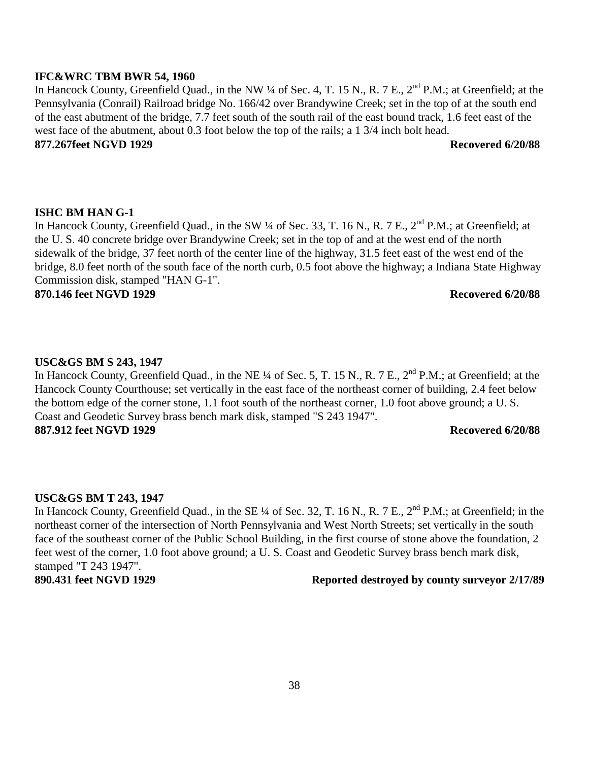#### **IFC&WRC TBM BWR 54, 1960**

In Hancock County, Greenfield Quad., in the NW ¼ of Sec. 4, T. 15 N., R. 7 E., 2<sup>nd</sup> P.M.; at Greenfield; at the Pennsylvania (Conrail) Railroad bridge No. 166/42 over Brandywine Creek; set in the top of at the south end of the east abutment of the bridge, 7.7 feet south of the south rail of the east bound track, 1.6 feet east of the west face of the abutment, about 0.3 foot below the top of the rails; a 1 3/4 inch bolt head. **877.267feet NGVD 1929 Recovered 6/20/88** 

### **ISHC BM HAN G-1**

In Hancock County, Greenfield Quad., in the SW ¼ of Sec. 33, T. 16 N., R. 7 E., 2<sup>nd</sup> P.M.; at Greenfield; at the U. S. 40 concrete bridge over Brandywine Creek; set in the top of and at the west end of the north sidewalk of the bridge, 37 feet north of the center line of the highway, 31.5 feet east of the west end of the bridge, 8.0 feet north of the south face of the north curb, 0.5 foot above the highway; a Indiana State Highway Commission disk, stamped "HAN G-1".

**870.146 feet NGVD 1929 Recovered 6/20/88** 

#### **USC&GS BM S 243, 1947**

In Hancock County, Greenfield Quad., in the NE ¼ of Sec. 5, T. 15 N., R. 7 E., 2<sup>nd</sup> P.M.; at Greenfield; at the Hancock County Courthouse; set vertically in the east face of the northeast corner of building, 2.4 feet below the bottom edge of the corner stone, 1.1 foot south of the northeast corner, 1.0 foot above ground; a U. S. Coast and Geodetic Survey brass bench mark disk, stamped "S 243 1947". **887.912 feet NGVD 1929 Recovered 6/20/88** 

#### **USC&GS BM T 243, 1947**

In Hancock County, Greenfield Quad., in the SE ¼ of Sec. 32, T. 16 N., R. 7 E., 2<sup>nd</sup> P.M.; at Greenfield; in the northeast corner of the intersection of North Pennsylvania and West North Streets; set vertically in the south face of the southeast corner of the Public School Building, in the first course of stone above the foundation, 2 feet west of the corner, 1.0 foot above ground; a U. S. Coast and Geodetic Survey brass bench mark disk, stamped "T 243 1947".

#### **890.431 feet NGVD 1929 Reported destroyed by county surveyor 2/17/89**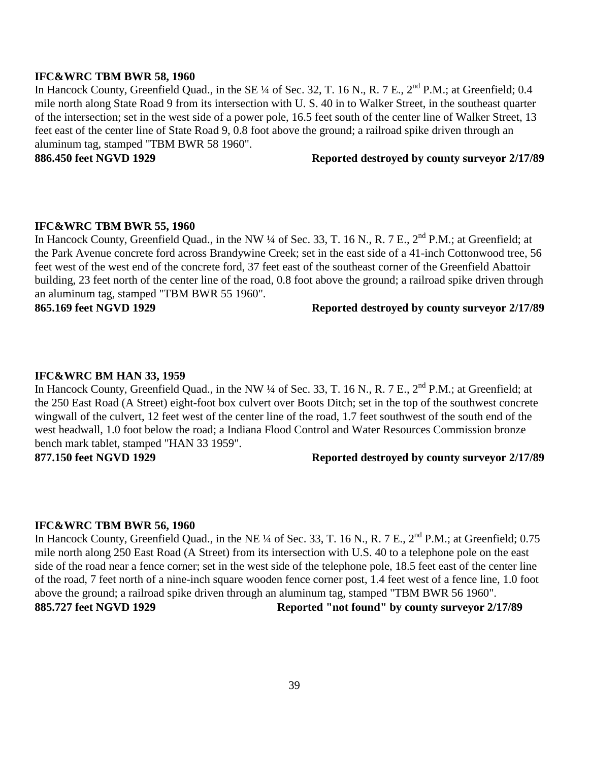#### **IFC&WRC TBM BWR 58, 1960**

In Hancock County, Greenfield Quad., in the SE ¼ of Sec. 32, T. 16 N., R. 7 E., 2<sup>nd</sup> P.M.; at Greenfield; 0.4 mile north along State Road 9 from its intersection with U. S. 40 in to Walker Street, in the southeast quarter of the intersection; set in the west side of a power pole, 16.5 feet south of the center line of Walker Street, 13 feet east of the center line of State Road 9, 0.8 foot above the ground; a railroad spike driven through an aluminum tag, stamped "TBM BWR 58 1960".

#### **886.450 feet NGVD 1929 Reported destroyed by county surveyor 2/17/89**

#### **IFC&WRC TBM BWR 55, 1960**

In Hancock County, Greenfield Quad., in the NW ¼ of Sec. 33, T. 16 N., R. 7 E., 2<sup>nd</sup> P.M.; at Greenfield; at the Park Avenue concrete ford across Brandywine Creek; set in the east side of a 41-inch Cottonwood tree, 56 feet west of the west end of the concrete ford, 37 feet east of the southeast corner of the Greenfield Abattoir building, 23 feet north of the center line of the road, 0.8 foot above the ground; a railroad spike driven through an aluminum tag, stamped "TBM BWR 55 1960".

#### **865.169 feet NGVD 1929 Reported destroyed by county surveyor 2/17/89**

#### **IFC&WRC BM HAN 33, 1959**

In Hancock County, Greenfield Quad., in the NW ¼ of Sec. 33, T. 16 N., R. 7 E.,  $2^{nd}$  P.M.; at Greenfield; at the 250 East Road (A Street) eight-foot box culvert over Boots Ditch; set in the top of the southwest concrete wingwall of the culvert, 12 feet west of the center line of the road, 1.7 feet southwest of the south end of the west headwall, 1.0 foot below the road; a Indiana Flood Control and Water Resources Commission bronze bench mark tablet, stamped "HAN 33 1959".

#### **877.150 feet NGVD 1929 Reported destroyed by county surveyor 2/17/89**

#### **IFC&WRC TBM BWR 56, 1960**

In Hancock County, Greenfield Quad., in the NE ¼ of Sec. 33, T. 16 N., R. 7 E., 2<sup>nd</sup> P.M.; at Greenfield; 0.75 mile north along 250 East Road (A Street) from its intersection with U.S. 40 to a telephone pole on the east side of the road near a fence corner; set in the west side of the telephone pole, 18.5 feet east of the center line of the road, 7 feet north of a nine-inch square wooden fence corner post, 1.4 feet west of a fence line, 1.0 foot above the ground; a railroad spike driven through an aluminum tag, stamped "TBM BWR 56 1960".

**885.727 feet NGVD 1929 Reported "not found" by county surveyor 2/17/89**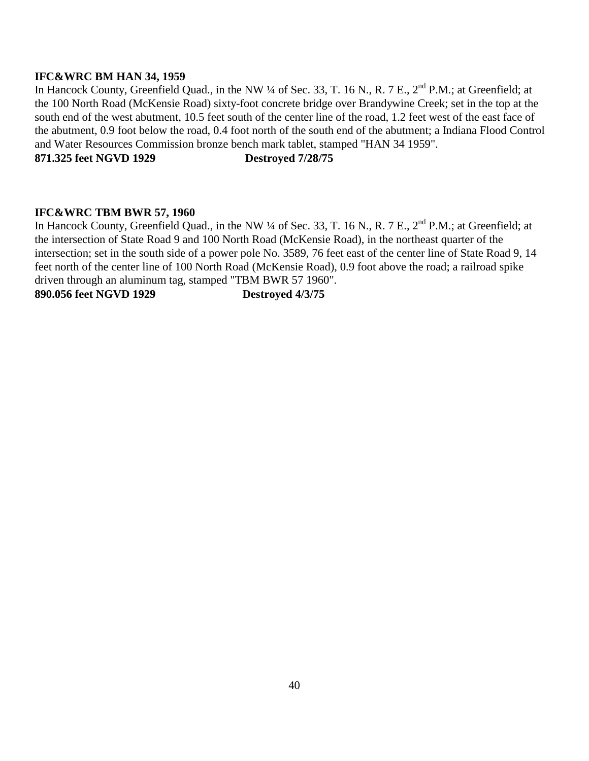### **IFC&WRC BM HAN 34, 1959**

In Hancock County, Greenfield Quad., in the NW ¼ of Sec. 33, T. 16 N., R. 7 E., 2<sup>nd</sup> P.M.; at Greenfield; at the 100 North Road (McKensie Road) sixty-foot concrete bridge over Brandywine Creek; set in the top at the south end of the west abutment, 10.5 feet south of the center line of the road, 1.2 feet west of the east face of the abutment, 0.9 foot below the road, 0.4 foot north of the south end of the abutment; a Indiana Flood Control and Water Resources Commission bronze bench mark tablet, stamped "HAN 34 1959".

**871.325 feet NGVD 1929 Destroyed 7/28/75** 

### **IFC&WRC TBM BWR 57, 1960**

In Hancock County, Greenfield Quad., in the NW ¼ of Sec. 33, T. 16 N., R. 7 E., 2<sup>nd</sup> P.M.; at Greenfield; at the intersection of State Road 9 and 100 North Road (McKensie Road), in the northeast quarter of the intersection; set in the south side of a power pole No. 3589, 76 feet east of the center line of State Road 9, 14 feet north of the center line of 100 North Road (McKensie Road), 0.9 foot above the road; a railroad spike driven through an aluminum tag, stamped "TBM BWR 57 1960".

**890.056 feet NGVD 1929 Destroyed 4/3/75**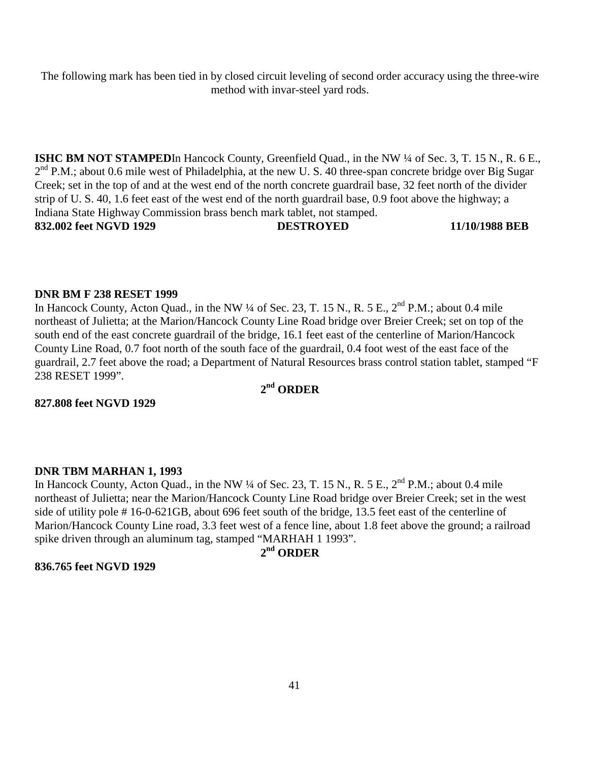The following mark has been tied in by closed circuit leveling of second order accuracy using the three-wire method with invar-steel yard rods.

**ISHC BM NOT STAMPED**In Hancock County, Greenfield Quad., in the NW <sup>1</sup>/4 of Sec. 3, T. 15 N., R. 6 E.,  $2<sup>nd</sup>$  P.M.; about 0.6 mile west of Philadelphia, at the new U. S. 40 three-span concrete bridge over Big Sugar Creek; set in the top of and at the west end of the north concrete guardrail base, 32 feet north of the divider strip of U. S. 40, 1.6 feet east of the west end of the north guardrail base, 0.9 foot above the highway; a Indiana State Highway Commission brass bench mark tablet, not stamped. **832.002 feet NGVD 1929 DESTROYED 11/10/1988 BEB** 

#### **DNR BM F 238 RESET 1999**

In Hancock County, Acton Quad., in the NW  $\frac{1}{4}$  of Sec. 23, T. 15 N., R. 5 E.,  $2^{nd}$  P.M.; about 0.4 mile northeast of Julietta; at the Marion/Hancock County Line Road bridge over Breier Creek; set on top of the south end of the east concrete guardrail of the bridge, 16.1 feet east of the centerline of Marion/Hancock County Line Road, 0.7 foot north of the south face of the guardrail, 0.4 foot west of the east face of the guardrail, 2.7 feet above the road; a Department of Natural Resources brass control station tablet, stamped "F 238 RESET 1999".

### **2nd ORDER**

**827.808 feet NGVD 1929** 

#### **DNR TBM MARHAN 1, 1993**

In Hancock County, Acton Quad., in the NW ¼ of Sec. 23, T. 15 N., R. 5 E., 2<sup>nd</sup> P.M.; about 0.4 mile northeast of Julietta; near the Marion/Hancock County Line Road bridge over Breier Creek; set in the west side of utility pole # 16-0-621GB, about 696 feet south of the bridge, 13.5 feet east of the centerline of Marion/Hancock County Line road, 3.3 feet west of a fence line, about 1.8 feet above the ground; a railroad spike driven through an aluminum tag, stamped "MARHAH 1 1993".

## **2nd ORDER**

#### **836.765 feet NGVD 1929**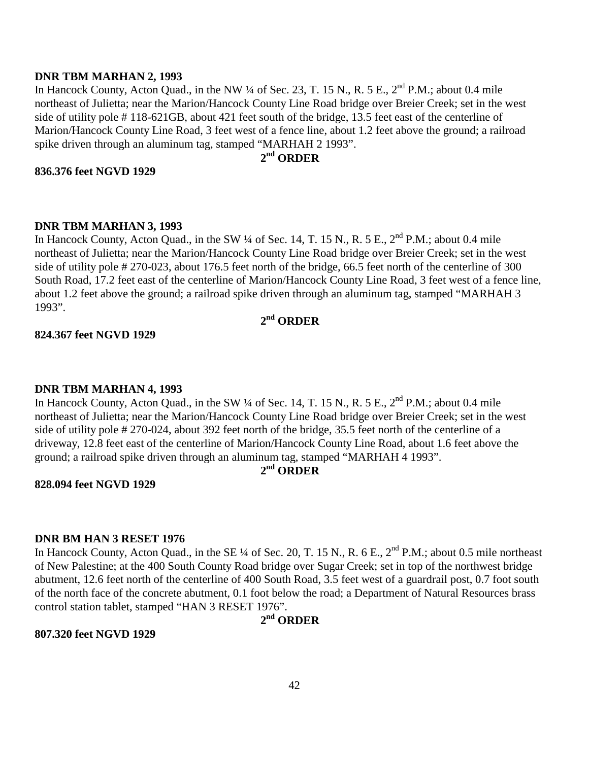#### **DNR TBM MARHAN 2, 1993**

In Hancock County, Acton Quad., in the NW  $\frac{1}{4}$  of Sec. 23, T. 15 N., R. 5 E.,  $2^{nd}$  P.M.; about 0.4 mile northeast of Julietta; near the Marion/Hancock County Line Road bridge over Breier Creek; set in the west side of utility pole # 118-621GB, about 421 feet south of the bridge, 13.5 feet east of the centerline of Marion/Hancock County Line Road, 3 feet west of a fence line, about 1.2 feet above the ground; a railroad spike driven through an aluminum tag, stamped "MARHAH 2 1993".

### **2nd ORDER**

#### **836.376 feet NGVD 1929**

#### **DNR TBM MARHAN 3, 1993**

In Hancock County, Acton Quad., in the SW ¼ of Sec. 14, T. 15 N., R. 5 E., 2<sup>nd</sup> P.M.; about 0.4 mile northeast of Julietta; near the Marion/Hancock County Line Road bridge over Breier Creek; set in the west side of utility pole # 270-023, about 176.5 feet north of the bridge, 66.5 feet north of the centerline of 300 South Road, 17.2 feet east of the centerline of Marion/Hancock County Line Road, 3 feet west of a fence line, about 1.2 feet above the ground; a railroad spike driven through an aluminum tag, stamped "MARHAH 3 1993".

### **2nd ORDER**

#### **824.367 feet NGVD 1929**

#### **DNR TBM MARHAN 4, 1993**

In Hancock County, Acton Quad., in the SW  $\frac{1}{4}$  of Sec. 14, T. 15 N., R. 5 E.,  $2^{nd}$  P.M.; about 0.4 mile northeast of Julietta; near the Marion/Hancock County Line Road bridge over Breier Creek; set in the west side of utility pole # 270-024, about 392 feet north of the bridge, 35.5 feet north of the centerline of a driveway, 12.8 feet east of the centerline of Marion/Hancock County Line Road, about 1.6 feet above the ground; a railroad spike driven through an aluminum tag, stamped "MARHAH 4 1993".

# **2nd ORDER**

#### **828.094 feet NGVD 1929**

### **DNR BM HAN 3 RESET 1976**

In Hancock County, Acton Quad., in the SE ¼ of Sec. 20, T. 15 N., R. 6 E., 2<sup>nd</sup> P.M.; about 0.5 mile northeast of New Palestine; at the 400 South County Road bridge over Sugar Creek; set in top of the northwest bridge abutment, 12.6 feet north of the centerline of 400 South Road, 3.5 feet west of a guardrail post, 0.7 foot south of the north face of the concrete abutment, 0.1 foot below the road; a Department of Natural Resources brass control station tablet, stamped "HAN 3 RESET 1976".

### **2nd ORDER**

#### **807.320 feet NGVD 1929**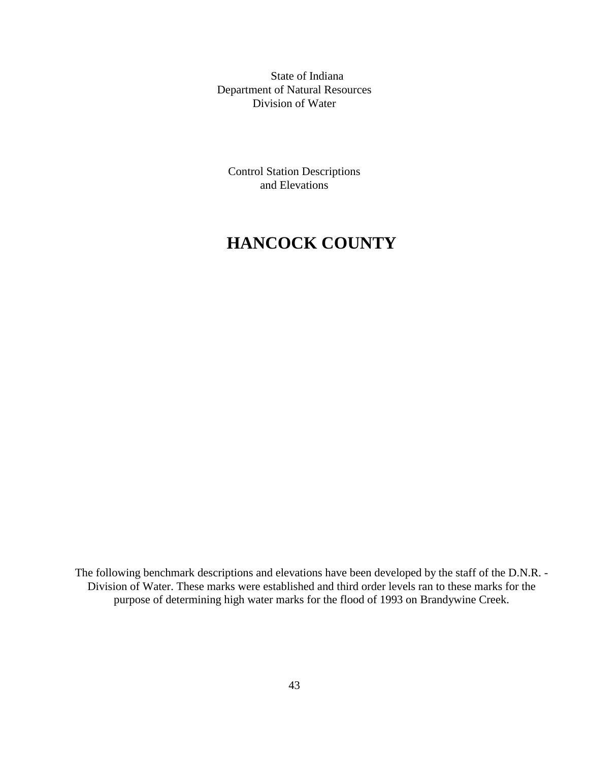State of Indiana Department of Natural Resources Division of Water

Control Station Descriptions and Elevations

# **HANCOCK COUNTY**

The following benchmark descriptions and elevations have been developed by the staff of the D.N.R. - Division of Water. These marks were established and third order levels ran to these marks for the purpose of determining high water marks for the flood of 1993 on Brandywine Creek.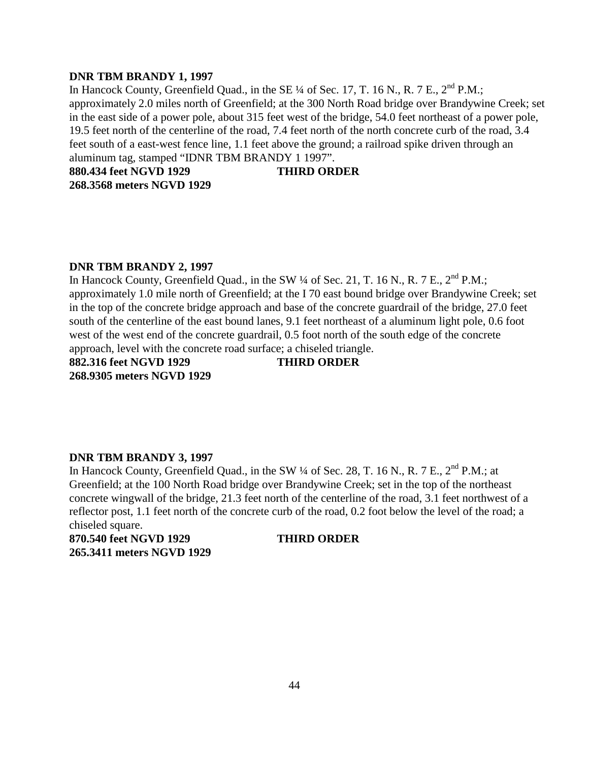#### **DNR TBM BRANDY 1, 1997**

In Hancock County, Greenfield Quad., in the SE  $\frac{1}{4}$  of Sec. 17, T. 16 N., R. 7 E.,  $2^{nd}$  P.M.; approximately 2.0 miles north of Greenfield; at the 300 North Road bridge over Brandywine Creek; set in the east side of a power pole, about 315 feet west of the bridge, 54.0 feet northeast of a power pole, 19.5 feet north of the centerline of the road, 7.4 feet north of the north concrete curb of the road, 3.4 feet south of a east-west fence line, 1.1 feet above the ground; a railroad spike driven through an aluminum tag, stamped "IDNR TBM BRANDY 1 1997".

**880.434 feet NGVD 1929 THIRD ORDER** 

**268.3568 meters NGVD 1929** 

#### **DNR TBM BRANDY 2, 1997**

In Hancock County, Greenfield Quad., in the SW 1/4 of Sec. 21, T. 16 N., R. 7 E., 2<sup>nd</sup> P.M.: approximately 1.0 mile north of Greenfield; at the I 70 east bound bridge over Brandywine Creek; set in the top of the concrete bridge approach and base of the concrete guardrail of the bridge, 27.0 feet south of the centerline of the east bound lanes, 9.1 feet northeast of a aluminum light pole, 0.6 foot west of the west end of the concrete guardrail, 0.5 foot north of the south edge of the concrete approach, level with the concrete road surface; a chiseled triangle.

**882.316 feet NGVD 1929 THIRD ORDER 268.9305 meters NGVD 1929** 

#### **DNR TBM BRANDY 3, 1997**

In Hancock County, Greenfield Quad., in the SW  $\frac{1}{4}$  of Sec. 28, T. 16 N., R. 7 E.,  $2^{nd}$  P.M.; at Greenfield; at the 100 North Road bridge over Brandywine Creek; set in the top of the northeast concrete wingwall of the bridge, 21.3 feet north of the centerline of the road, 3.1 feet northwest of a reflector post, 1.1 feet north of the concrete curb of the road, 0.2 foot below the level of the road; a chiseled square.

**870.540 feet NGVD 1929 THIRD ORDER 265.3411 meters NGVD 1929**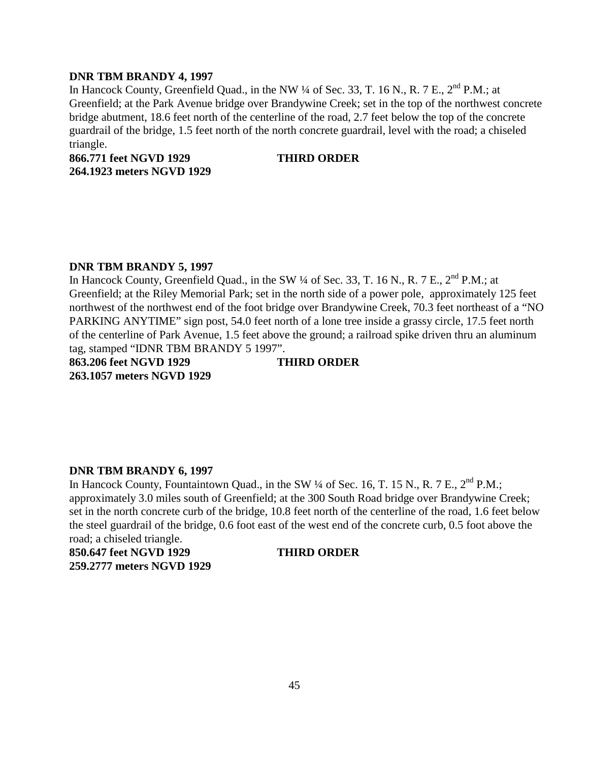#### **DNR TBM BRANDY 4, 1997**

In Hancock County, Greenfield Quad., in the NW  $\frac{1}{4}$  of Sec. 33, T. 16 N., R. 7 E.,  $2^{nd}$  P.M.; at Greenfield; at the Park Avenue bridge over Brandywine Creek; set in the top of the northwest concrete bridge abutment, 18.6 feet north of the centerline of the road, 2.7 feet below the top of the concrete guardrail of the bridge, 1.5 feet north of the north concrete guardrail, level with the road; a chiseled triangle.

**866.771 feet NGVD 1929 THIRD ORDER 264.1923 meters NGVD 1929** 

#### **DNR TBM BRANDY 5, 1997**

In Hancock County, Greenfield Quad., in the SW 1/4 of Sec. 33, T. 16 N., R. 7 E., 2<sup>nd</sup> P.M.; at Greenfield; at the Riley Memorial Park; set in the north side of a power pole, approximately 125 feet northwest of the northwest end of the foot bridge over Brandywine Creek, 70.3 feet northeast of a "NO PARKING ANYTIME" sign post, 54.0 feet north of a lone tree inside a grassy circle, 17.5 feet north of the centerline of Park Avenue, 1.5 feet above the ground; a railroad spike driven thru an aluminum tag, stamped "IDNR TBM BRANDY 5 1997".

**863.206 feet NGVD 1929 THIRD ORDER 263.1057 meters NGVD 1929** 

#### **DNR TBM BRANDY 6, 1997**

In Hancock County, Fountaintown Quad., in the SW  $\frac{1}{4}$  of Sec. 16, T. 15 N., R. 7 E.,  $2^{nd}$  P.M.; approximately 3.0 miles south of Greenfield; at the 300 South Road bridge over Brandywine Creek; set in the north concrete curb of the bridge, 10.8 feet north of the centerline of the road, 1.6 feet below the steel guardrail of the bridge, 0.6 foot east of the west end of the concrete curb, 0.5 foot above the road; a chiseled triangle.

**850.647 feet NGVD 1929 THIRD ORDER 259.2777 meters NGVD 1929**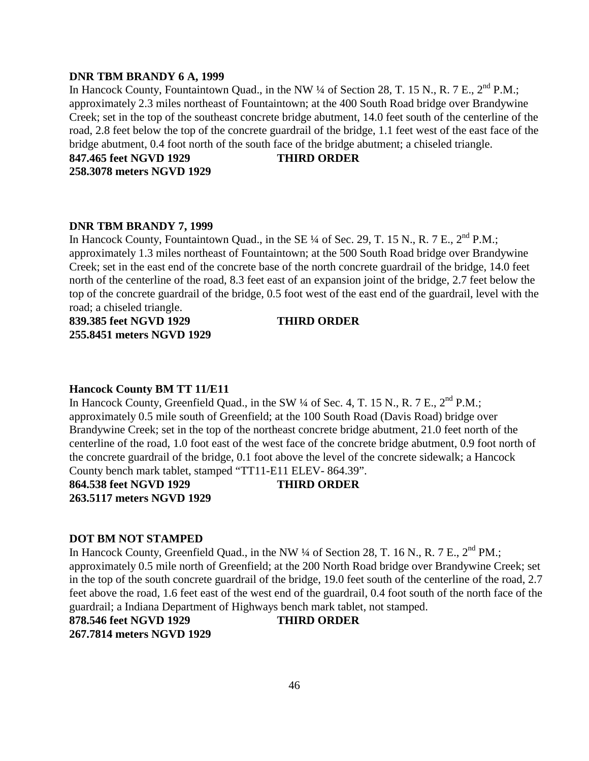#### **DNR TBM BRANDY 6 A, 1999**

In Hancock County, Fountaintown Quad., in the NW  $\frac{1}{4}$  of Section 28, T. 15 N., R. 7 E.,  $2^{nd}$  P.M.; approximately 2.3 miles northeast of Fountaintown; at the 400 South Road bridge over Brandywine Creek; set in the top of the southeast concrete bridge abutment, 14.0 feet south of the centerline of the road, 2.8 feet below the top of the concrete guardrail of the bridge, 1.1 feet west of the east face of the bridge abutment, 0.4 foot north of the south face of the bridge abutment; a chiseled triangle.

**847.465 feet NGVD 1929 THIRD ORDER 258.3078 meters NGVD 1929** 

#### **DNR TBM BRANDY 7, 1999**

In Hancock County, Fountaintown Quad., in the SE  $\frac{1}{4}$  of Sec. 29, T. 15 N., R. 7 E.,  $2^{nd}$  P.M.; approximately 1.3 miles northeast of Fountaintown; at the 500 South Road bridge over Brandywine Creek; set in the east end of the concrete base of the north concrete guardrail of the bridge, 14.0 feet north of the centerline of the road, 8.3 feet east of an expansion joint of the bridge, 2.7 feet below the top of the concrete guardrail of the bridge, 0.5 foot west of the east end of the guardrail, level with the road; a chiseled triangle.

**839.385 feet NGVD 1929 THIRD ORDER 255.8451 meters NGVD 1929** 

#### **Hancock County BM TT 11/E11**

In Hancock County, Greenfield Quad., in the SW  $\frac{1}{4}$  of Sec. 4, T. 15 N., R. 7 E.,  $2^{nd}$  P.M.; approximately 0.5 mile south of Greenfield; at the 100 South Road (Davis Road) bridge over Brandywine Creek; set in the top of the northeast concrete bridge abutment, 21.0 feet north of the centerline of the road, 1.0 foot east of the west face of the concrete bridge abutment, 0.9 foot north of the concrete guardrail of the bridge, 0.1 foot above the level of the concrete sidewalk; a Hancock County bench mark tablet, stamped "TT11-E11 ELEV- 864.39".

**864.538 feet NGVD 1929 THIRD ORDER 263.5117 meters NGVD 1929** 

#### **DOT BM NOT STAMPED**

In Hancock County, Greenfield Quad., in the NW  $\frac{1}{4}$  of Section 28, T. 16 N., R. 7 E.,  $2^{nd}$  PM.; approximately 0.5 mile north of Greenfield; at the 200 North Road bridge over Brandywine Creek; set in the top of the south concrete guardrail of the bridge, 19.0 feet south of the centerline of the road, 2.7 feet above the road, 1.6 feet east of the west end of the guardrail, 0.4 foot south of the north face of the guardrail; a Indiana Department of Highways bench mark tablet, not stamped.

**878.546 feet NGVD 1929 THIRD ORDER 267.7814 meters NGVD 1929**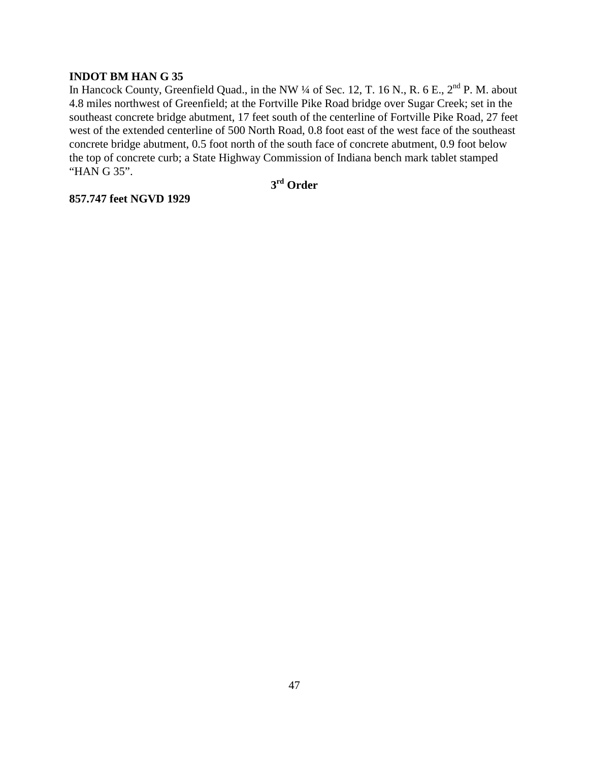### **INDOT BM HAN G 35**

In Hancock County, Greenfield Quad., in the NW ¼ of Sec. 12, T. 16 N., R. 6 E., 2<sup>nd</sup> P. M. about 4.8 miles northwest of Greenfield; at the Fortville Pike Road bridge over Sugar Creek; set in the southeast concrete bridge abutment, 17 feet south of the centerline of Fortville Pike Road, 27 feet west of the extended centerline of 500 North Road, 0.8 foot east of the west face of the southeast concrete bridge abutment, 0.5 foot north of the south face of concrete abutment, 0.9 foot below the top of concrete curb; a State Highway Commission of Indiana bench mark tablet stamped "HAN G 35".

**3rd Order** 

**857.747 feet NGVD 1929**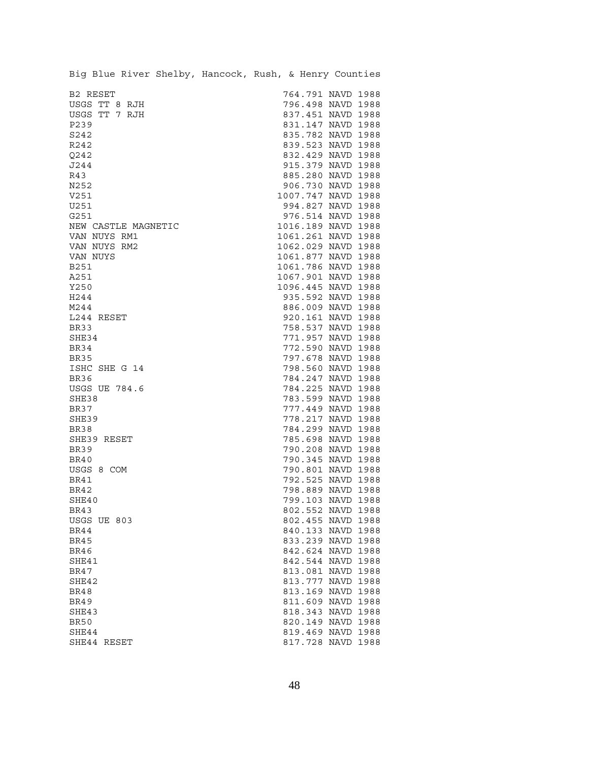| Big Blue River Shelby, Hancock, Rush, & Henry Counties |                    |
|--------------------------------------------------------|--------------------|
| B2 RESET                                               | 764.791 NAVD 1988  |
| USGS TT 8 RJH                                          | 796.498 NAVD 1988  |
| USGS TT 7 RJH                                          | 837.451 NAVD 1988  |
| P239                                                   | 831.147 NAVD 1988  |
| S242                                                   | 835.782 NAVD 1988  |
| R242                                                   | 839.523 NAVD 1988  |
| Q242                                                   | 832.429 NAVD 1988  |
| J244                                                   | 915.379 NAVD 1988  |
| R43                                                    | 885.280 NAVD 1988  |
| N252                                                   | 906.730 NAVD 1988  |
| V251                                                   | 1007.747 NAVD 1988 |
| U251                                                   | 994.827 NAVD 1988  |
| G251                                                   | 976.514 NAVD 1988  |
| NEW CASTLE MAGNETIC                                    | 1016.189 NAVD 1988 |
| VAN NUYS RM1                                           | 1061.261 NAVD 1988 |
| VAN NUYS RM2                                           | 1062.029 NAVD 1988 |
| VAN NUYS                                               | 1061.877 NAVD 1988 |
| <b>B251</b>                                            | 1061.786 NAVD 1988 |
| A251                                                   | 1067.901 NAVD 1988 |
| Y250                                                   | 1096.445 NAVD 1988 |
| H244                                                   | 935.592 NAVD 1988  |
| M244                                                   | 886.009 NAVD 1988  |
| L244 RESET                                             | 920.161 NAVD 1988  |
| <b>BR33</b>                                            | 758.537 NAVD 1988  |
| SHE34                                                  | 771.957 NAVD 1988  |
| BR34                                                   | 772.590 NAVD 1988  |
| BR35                                                   | 797.678 NAVD 1988  |
| ISHC SHE G 14                                          | 798.560 NAVD 1988  |
| BR36                                                   | 784.247 NAVD 1988  |
| <b>USGS UE 784.6</b>                                   | 784.225 NAVD 1988  |
| SHE38                                                  | 783.599 NAVD 1988  |
| <b>BR37</b>                                            | 777.449 NAVD 1988  |
| SHE39                                                  | 778.217 NAVD 1988  |
| <b>BR38</b>                                            | 784.299 NAVD 1988  |
| SHE39 RESET                                            | 785.698 NAVD 1988  |
| <b>BR39</b>                                            | 790.208 NAVD 1988  |
| <b>BR40</b>                                            | 790.345 NAVD 1988  |
| USGS 8 COM                                             | 790.801 NAVD 1988  |
| <b>BR41</b>                                            | 792.525 NAVD 1988  |
| <b>BR42</b>                                            | 798.889 NAVD 1988  |
| SHE40                                                  | 799.103 NAVD 1988  |
| BR43                                                   | 802.552 NAVD 1988  |
| USGS UE 803                                            | 802.455 NAVD 1988  |
| BR44                                                   | 840.133 NAVD 1988  |
| BR45                                                   | 833.239 NAVD 1988  |
| BR46                                                   | 842.624 NAVD 1988  |
| SHE41                                                  | 842.544 NAVD 1988  |
| BR47                                                   | 813.081 NAVD 1988  |
| SHE42                                                  | 813.777 NAVD 1988  |
| <b>BR48</b>                                            | 813.169 NAVD 1988  |
| BR49                                                   | 811.609 NAVD 1988  |
| SHE43                                                  | 818.343 NAVD 1988  |
| <b>BR50</b>                                            | 820.149 NAVD 1988  |
| SHE44                                                  | 819.469 NAVD 1988  |
| SHE44 RESET                                            | 817.728 NAVD 1988  |
|                                                        |                    |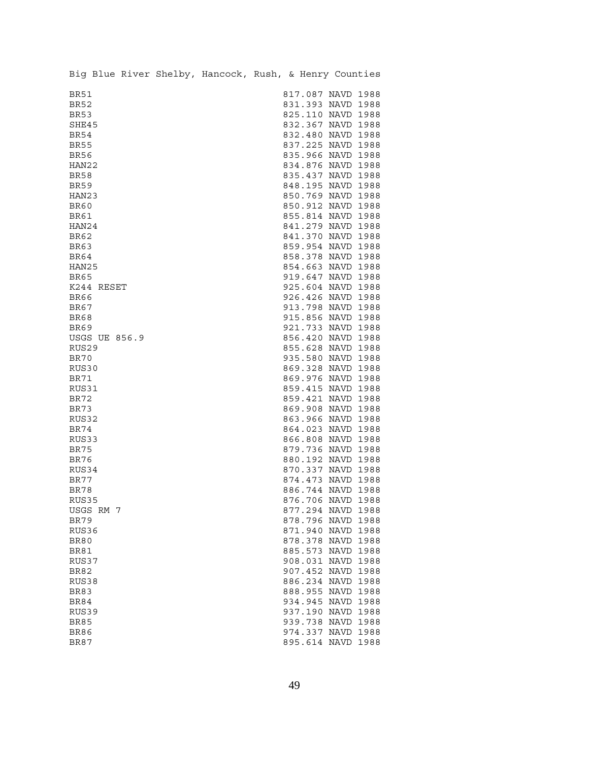|                     |            |                      | Big Blue River Shelby, Hancock, Rush, & Henry Counties |  |                                        |      |
|---------------------|------------|----------------------|--------------------------------------------------------|--|----------------------------------------|------|
| BR51                |            |                      |                                                        |  | 817.087 NAVD 1988                      |      |
| <b>BR52</b>         |            |                      |                                                        |  | 831.393 NAVD 1988                      |      |
| <b>BR53</b>         |            |                      |                                                        |  | 825.110 NAVD 1988                      |      |
| SHE45               |            |                      |                                                        |  | 832.367 NAVD 1988                      |      |
| <b>BR54</b>         |            |                      |                                                        |  | 832.480 NAVD 1988                      |      |
| <b>BR55</b>         |            |                      |                                                        |  | 837.225 NAVD 1988                      |      |
| <b>BR56</b>         |            |                      |                                                        |  | 835.966 NAVD 1988                      |      |
| HAN22               |            |                      |                                                        |  | 834.876 NAVD 1988                      |      |
| <b>BR58</b>         |            |                      |                                                        |  | 835.437 NAVD 1988                      |      |
| <b>BR59</b>         |            |                      |                                                        |  | 848.195 NAVD 1988                      |      |
| HAN23               |            |                      |                                                        |  | 850.769 NAVD 1988                      |      |
| <b>BR60</b>         |            |                      |                                                        |  | 850.912 NAVD 1988                      |      |
| <b>BR61</b>         |            |                      |                                                        |  | 855.814 NAVD 1988                      |      |
| HAN24               |            |                      |                                                        |  | 841.279 NAVD 1988                      |      |
| <b>BR62</b>         |            |                      |                                                        |  | 841.370 NAVD 1988                      |      |
| <b>BR63</b>         |            |                      |                                                        |  | 859.954 NAVD 1988                      |      |
| <b>BR64</b>         |            |                      |                                                        |  | 858.378 NAVD 1988                      |      |
| HAN25               |            |                      |                                                        |  | 854.663 NAVD 1988                      |      |
| <b>BR65</b>         |            |                      |                                                        |  | 919.647 NAVD 1988                      |      |
|                     | K244 RESET |                      |                                                        |  | 925.604 NAVD 1988                      |      |
| <b>BR66</b>         |            |                      |                                                        |  | 926.426 NAVD 1988                      |      |
| BR67<br><b>BR68</b> |            |                      |                                                        |  | 913.798 NAVD 1988<br>915.856 NAVD 1988 |      |
| <b>BR69</b>         |            |                      |                                                        |  | 921.733 NAVD 1988                      |      |
|                     |            | <b>USGS UE 856.9</b> |                                                        |  | 856.420 NAVD 1988                      |      |
| RUS29               |            |                      |                                                        |  | 855.628 NAVD 1988                      |      |
| BR70                |            |                      |                                                        |  | 935.580 NAVD 1988                      |      |
| RUS30               |            |                      |                                                        |  | 869.328 NAVD 1988                      |      |
| BR71                |            |                      |                                                        |  | 869.976 NAVD 1988                      |      |
| RUS31               |            |                      |                                                        |  | 859.415 NAVD 1988                      |      |
| <b>BR72</b>         |            |                      |                                                        |  | 859.421 NAVD 1988                      |      |
| <b>BR73</b>         |            |                      |                                                        |  | 869.908 NAVD 1988                      |      |
| RUS32               |            |                      |                                                        |  | 863.966 NAVD 1988                      |      |
| <b>BR74</b>         |            |                      |                                                        |  | 864.023 NAVD 1988                      |      |
| RUS33               |            |                      |                                                        |  | 866.808 NAVD 1988                      |      |
| <b>BR75</b>         |            |                      |                                                        |  | 879.736 NAVD 1988                      |      |
| BR76                |            |                      |                                                        |  | 880.192 NAVD 1988                      |      |
| RUS34               |            |                      |                                                        |  | 870.337 NAVD 1988                      |      |
| <b>BR77</b>         |            |                      |                                                        |  | 874.473 NAVD 1988                      |      |
| <b>BR78</b>         |            |                      |                                                        |  | 886.744 NAVD 1988                      |      |
| RUS35               |            |                      |                                                        |  | 876.706 NAVD 1988                      |      |
|                     | USGS RM 7  |                      |                                                        |  | 877.294 NAVD 1988                      |      |
| <b>BR79</b>         |            |                      |                                                        |  | 878.796 NAVD 1988                      |      |
| RUS36               |            |                      |                                                        |  | 871.940 NAVD                           | 1988 |
| <b>BR80</b>         |            |                      |                                                        |  | 878.378 NAVD 1988                      |      |
| BR81                |            |                      |                                                        |  | 885.573 NAVD                           | 1988 |
| RUS37               |            |                      |                                                        |  | 908.031 NAVD                           | 1988 |
| BR82                |            |                      |                                                        |  | 907.452 NAVD                           | 1988 |
| RUS38               |            |                      |                                                        |  | 886.234 NAVD                           | 1988 |
| <b>BR83</b>         |            |                      |                                                        |  | 888.955 NAVD                           | 1988 |
| BR84                |            |                      |                                                        |  | 934.945 NAVD                           | 1988 |
| RUS39               |            |                      |                                                        |  | 937.190 NAVD                           | 1988 |
| <b>BR85</b>         |            |                      |                                                        |  | 939.738 NAVD 1988                      |      |
| <b>BR86</b>         |            |                      |                                                        |  | 974.337 NAVD                           | 1988 |
| <b>BR87</b>         |            |                      |                                                        |  | 895.614 NAVD                           | 1988 |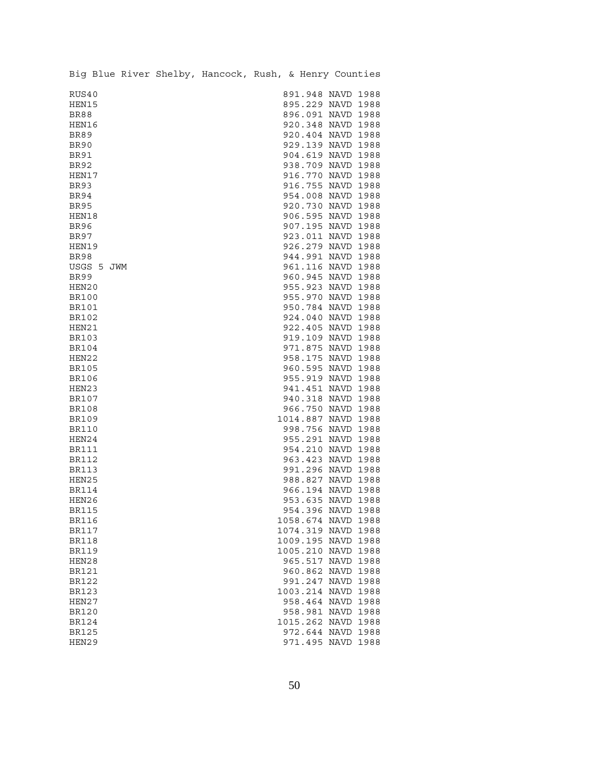|              |            |  | Big Blue River Shelby, Hancock, Rush, & Henry Counties |  |                    |      |
|--------------|------------|--|--------------------------------------------------------|--|--------------------|------|
| RUS40        |            |  |                                                        |  | 891.948 NAVD 1988  |      |
| HEN15        |            |  |                                                        |  | 895.229 NAVD 1988  |      |
| BR88         |            |  |                                                        |  | 896.091 NAVD 1988  |      |
| HEN16        |            |  |                                                        |  | 920.348 NAVD 1988  |      |
| <b>BR89</b>  |            |  |                                                        |  | 920.404 NAVD 1988  |      |
| BR90         |            |  |                                                        |  | 929.139 NAVD 1988  |      |
| <b>BR91</b>  |            |  |                                                        |  | 904.619 NAVD 1988  |      |
| <b>BR92</b>  |            |  |                                                        |  | 938.709 NAVD 1988  |      |
| HEN17        |            |  |                                                        |  | 916.770 NAVD 1988  |      |
| <b>BR93</b>  |            |  |                                                        |  | 916.755 NAVD 1988  |      |
| <b>BR94</b>  |            |  |                                                        |  | 954.008 NAVD 1988  |      |
| <b>BR95</b>  |            |  |                                                        |  | 920.730 NAVD 1988  |      |
| HEN18        |            |  |                                                        |  | 906.595 NAVD 1988  |      |
| <b>BR96</b>  |            |  |                                                        |  | 907.195 NAVD 1988  |      |
| <b>BR97</b>  |            |  |                                                        |  | 923.011 NAVD 1988  |      |
| HEN19        |            |  |                                                        |  | 926.279 NAVD 1988  |      |
| <b>BR98</b>  |            |  |                                                        |  | 944.991 NAVD 1988  |      |
|              | USGS 5 JWM |  |                                                        |  | 961.116 NAVD 1988  |      |
| BR99         |            |  |                                                        |  | 960.945 NAVD 1988  |      |
| HEN20        |            |  |                                                        |  | 955.923 NAVD 1988  |      |
| BR100        |            |  |                                                        |  | 955.970 NAVD 1988  |      |
| <b>BR101</b> |            |  |                                                        |  | 950.784 NAVD 1988  |      |
| <b>BR102</b> |            |  |                                                        |  | 924.040 NAVD 1988  |      |
| HEN21        |            |  |                                                        |  | 922.405 NAVD 1988  |      |
| BR103        |            |  |                                                        |  | 919.109 NAVD 1988  |      |
| BR104        |            |  |                                                        |  | 971.875 NAVD 1988  |      |
| HEN22        |            |  |                                                        |  | 958.175 NAVD 1988  |      |
| BR105        |            |  |                                                        |  | 960.595 NAVD 1988  |      |
| BR106        |            |  |                                                        |  | 955.919 NAVD 1988  |      |
| HEN23        |            |  |                                                        |  | 941.451 NAVD 1988  |      |
| BR107        |            |  |                                                        |  | 940.318 NAVD 1988  |      |
| <b>BR108</b> |            |  |                                                        |  | 966.750 NAVD 1988  |      |
| <b>BR109</b> |            |  |                                                        |  | 1014.887 NAVD 1988 |      |
| <b>BR110</b> |            |  |                                                        |  | 998.756 NAVD 1988  |      |
| HEN24        |            |  |                                                        |  | 955.291 NAVD 1988  |      |
| <b>BR111</b> |            |  |                                                        |  | 954.210 NAVD 1988  |      |
| <b>BR112</b> |            |  |                                                        |  | 963.423 NAVD 1988  |      |
| <b>BR113</b> |            |  |                                                        |  | 991.296 NAVD 1988  |      |
| HEN25        |            |  |                                                        |  | 988.827 NAVD 1988  |      |
| <b>BR114</b> |            |  |                                                        |  | 966.194 NAVD 1988  |      |
| HEN26        |            |  |                                                        |  | 953.635 NAVD 1988  |      |
| BR115        |            |  |                                                        |  | 954.396 NAVD 1988  |      |
| <b>BR116</b> |            |  |                                                        |  | 1058.674 NAVD      | 1988 |
| BR117        |            |  |                                                        |  | 1074.319 NAVD      | 1988 |
| <b>BR118</b> |            |  |                                                        |  | 1009.195 NAVD      | 1988 |
| BR119        |            |  |                                                        |  | 1005.210 NAVD      | 1988 |
| HEN28        |            |  |                                                        |  | 965.517 NAVD       | 1988 |
| BR121        |            |  |                                                        |  | 960.862 NAVD       | 1988 |
| BR122        |            |  |                                                        |  | 991.247 NAVD       | 1988 |
| BR123        |            |  |                                                        |  | 1003.214 NAVD      | 1988 |
| HEN27        |            |  |                                                        |  | 958.464 NAVD       | 1988 |
| BR120        |            |  |                                                        |  | 958.981 NAVD       | 1988 |
| BR124        |            |  |                                                        |  | 1015.262 NAVD      | 1988 |
| <b>BR125</b> |            |  |                                                        |  | 972.644 NAVD       | 1988 |
| HEN29        |            |  |                                                        |  | 971.495 NAVD       | 1988 |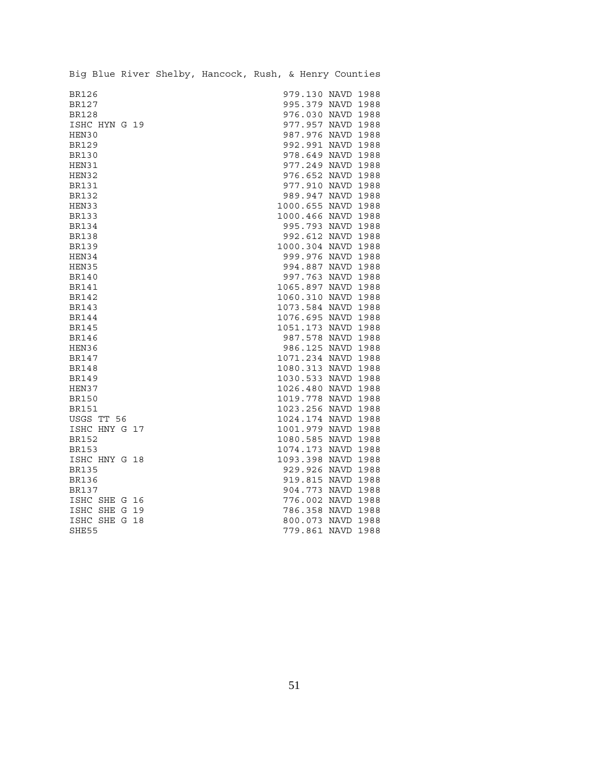| Big Blue River Shelby, Hancock, Rush, & Henry Counties |  |  |                    |  |
|--------------------------------------------------------|--|--|--------------------|--|
| <b>BR126</b>                                           |  |  | 979.130 NAVD 1988  |  |
| <b>BR127</b>                                           |  |  | 995.379 NAVD 1988  |  |
| <b>BR128</b>                                           |  |  | 976.030 NAVD 1988  |  |
| ISHC HYN G 19                                          |  |  | 977.957 NAVD 1988  |  |
| HEN30                                                  |  |  | 987.976 NAVD 1988  |  |
| <b>BR129</b>                                           |  |  | 992.991 NAVD 1988  |  |
| <b>BR130</b>                                           |  |  | 978.649 NAVD 1988  |  |
| HEN31                                                  |  |  | 977.249 NAVD 1988  |  |
| HEN32                                                  |  |  | 976.652 NAVD 1988  |  |
| <b>BR131</b>                                           |  |  | 977.910 NAVD 1988  |  |
| <b>BR132</b>                                           |  |  | 989.947 NAVD 1988  |  |
| HEN33                                                  |  |  | 1000.655 NAVD 1988 |  |
| <b>BR133</b>                                           |  |  | 1000.466 NAVD 1988 |  |
| <b>BR134</b>                                           |  |  | 995.793 NAVD 1988  |  |
| <b>BR138</b>                                           |  |  | 992.612 NAVD 1988  |  |
| <b>BR139</b>                                           |  |  | 1000.304 NAVD 1988 |  |
| HEN34                                                  |  |  | 999.976 NAVD 1988  |  |
| HEN35                                                  |  |  | 994.887 NAVD 1988  |  |
| <b>BR140</b>                                           |  |  | 997.763 NAVD 1988  |  |
| <b>BR141</b>                                           |  |  | 1065.897 NAVD 1988 |  |
| <b>BR142</b>                                           |  |  | 1060.310 NAVD 1988 |  |
| <b>BR143</b>                                           |  |  | 1073.584 NAVD 1988 |  |
| <b>BR144</b>                                           |  |  | 1076.695 NAVD 1988 |  |
| <b>BR145</b>                                           |  |  | 1051.173 NAVD 1988 |  |
| BR146                                                  |  |  | 987.578 NAVD 1988  |  |
| HEN36                                                  |  |  | 986.125 NAVD 1988  |  |
| <b>BR147</b>                                           |  |  | 1071.234 NAVD 1988 |  |
| BR148                                                  |  |  | 1080.313 NAVD 1988 |  |
| <b>BR149</b>                                           |  |  | 1030.533 NAVD 1988 |  |
| HEN37                                                  |  |  | 1026.480 NAVD 1988 |  |
| <b>BR150</b>                                           |  |  | 1019.778 NAVD 1988 |  |
| <b>BR151</b>                                           |  |  | 1023.256 NAVD 1988 |  |
| USGS TT 56                                             |  |  | 1024.174 NAVD 1988 |  |
| ISHC HNY G 17                                          |  |  | 1001.979 NAVD 1988 |  |
| <b>BR152</b>                                           |  |  | 1080.585 NAVD 1988 |  |
| <b>BR153</b>                                           |  |  | 1074.173 NAVD 1988 |  |
| ISHC HNY G 18                                          |  |  | 1093.398 NAVD 1988 |  |
| <b>BR135</b>                                           |  |  | 929.926 NAVD 1988  |  |
| <b>BR136</b>                                           |  |  | 919.815 NAVD 1988  |  |
| BR137                                                  |  |  | 904.773 NAVD 1988  |  |
| ISHC SHE G 16                                          |  |  | 776.002 NAVD 1988  |  |
| ISHC SHE G 19                                          |  |  | 786.358 NAVD 1988  |  |
| ISHC SHE G 18                                          |  |  | 800.073 NAVD 1988  |  |
| SHE55                                                  |  |  | 779.861 NAVD 1988  |  |